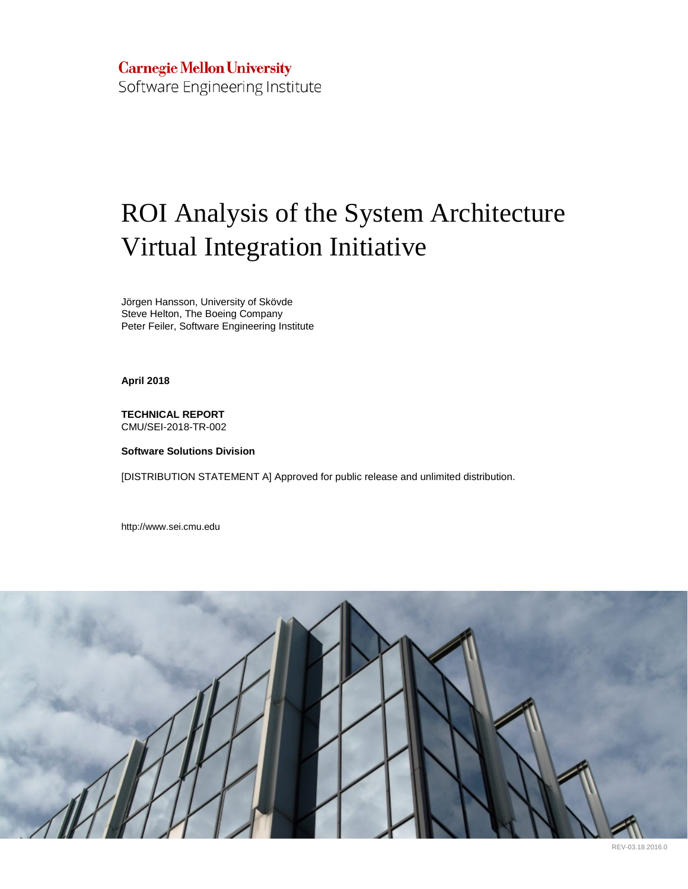**Carnegie Mellon University** Software Engineering Institute

# ROI Analysis of the System Architecture Virtual Integration Initiative

Jörgen Hansson, University of Skövde Steve Helton, The Boeing Company Peter Feiler, Software Engineering Institute

**April 2018**

**TECHNICAL REPORT** CMU/SEI-2018-TR-002

**Software Solutions Division**

[DISTRIBUTION STATEMENT A] Approved for public release and unlimited distribution.

http://www.sei.cmu.edu



REV-03.18.2016.0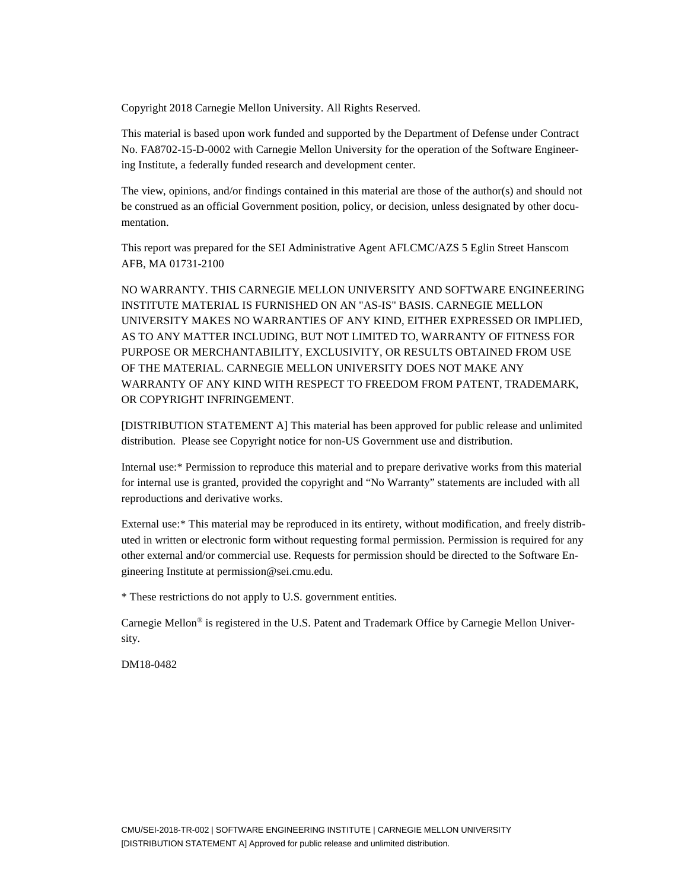Copyright 2018 Carnegie Mellon University. All Rights Reserved.

This material is based upon work funded and supported by the Department of Defense under Contract No. FA8702-15-D-0002 with Carnegie Mellon University for the operation of the Software Engineering Institute, a federally funded research and development center.

The view, opinions, and/or findings contained in this material are those of the author(s) and should not be construed as an official Government position, policy, or decision, unless designated by other documentation.

This report was prepared for the SEI Administrative Agent AFLCMC/AZS 5 Eglin Street Hanscom AFB, MA 01731-2100

NO WARRANTY. THIS CARNEGIE MELLON UNIVERSITY AND SOFTWARE ENGINEERING INSTITUTE MATERIAL IS FURNISHED ON AN "AS-IS" BASIS. CARNEGIE MELLON UNIVERSITY MAKES NO WARRANTIES OF ANY KIND, EITHER EXPRESSED OR IMPLIED, AS TO ANY MATTER INCLUDING, BUT NOT LIMITED TO, WARRANTY OF FITNESS FOR PURPOSE OR MERCHANTABILITY, EXCLUSIVITY, OR RESULTS OBTAINED FROM USE OF THE MATERIAL. CARNEGIE MELLON UNIVERSITY DOES NOT MAKE ANY WARRANTY OF ANY KIND WITH RESPECT TO FREEDOM FROM PATENT, TRADEMARK, OR COPYRIGHT INFRINGEMENT.

[DISTRIBUTION STATEMENT A] This material has been approved for public release and unlimited distribution. Please see Copyright notice for non-US Government use and distribution.

Internal use:\* Permission to reproduce this material and to prepare derivative works from this material for internal use is granted, provided the copyright and "No Warranty" statements are included with all reproductions and derivative works.

External use:\* This material may be reproduced in its entirety, without modification, and freely distributed in written or electronic form without requesting formal permission. Permission is required for any other external and/or commercial use. Requests for permission should be directed to the Software Engineering Institute at [permission@sei.cmu.edu.](mailto:permission@sei.cmu.edu)

\* These restrictions do not apply to U.S. government entities.

Carnegie Mellon® is registered in the U.S. Patent and Trademark Office by Carnegie Mellon University.

DM18-0482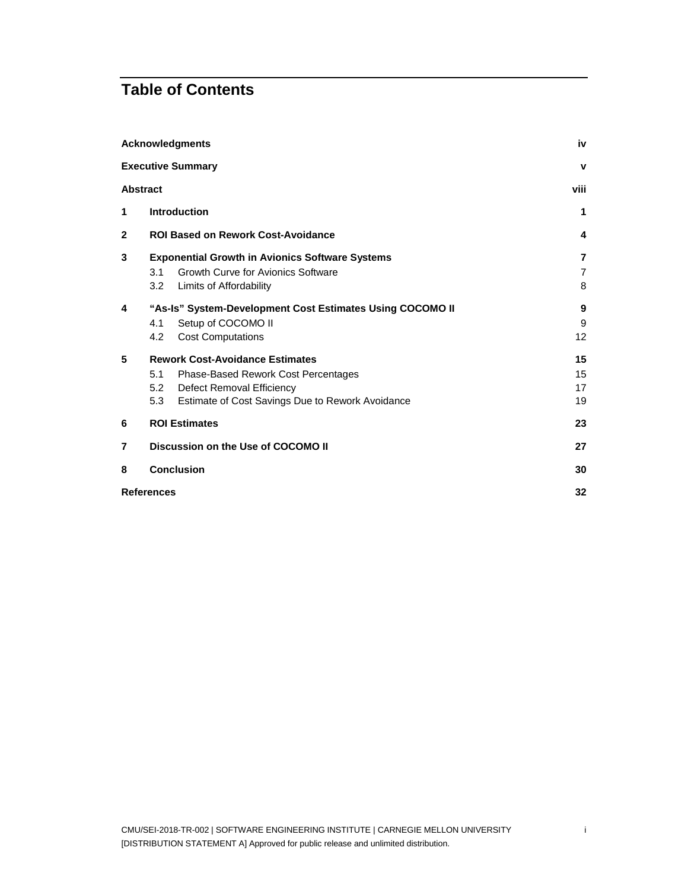# **Table of Contents**

|                 | Acknowledgments                                           | iv             |  |  |  |  |
|-----------------|-----------------------------------------------------------|----------------|--|--|--|--|
|                 | <b>Executive Summary</b>                                  | $\mathbf v$    |  |  |  |  |
| <b>Abstract</b> |                                                           | viii           |  |  |  |  |
| 1               | <b>Introduction</b>                                       | 1              |  |  |  |  |
| $\mathbf{2}$    | <b>ROI Based on Rework Cost-Avoidance</b>                 | 4              |  |  |  |  |
| 3               | <b>Exponential Growth in Avionics Software Systems</b>    | $\overline{7}$ |  |  |  |  |
|                 | Growth Curve for Avionics Software<br>3.1                 | $\overline{7}$ |  |  |  |  |
|                 | 3.2 Limits of Affordability                               | 8              |  |  |  |  |
| 4               | "As-Is" System-Development Cost Estimates Using COCOMO II | 9              |  |  |  |  |
|                 | Setup of COCOMO II<br>4.1                                 | 9              |  |  |  |  |
|                 | 4.2<br><b>Cost Computations</b>                           | 12             |  |  |  |  |
| 5               | <b>Rework Cost-Avoidance Estimates</b>                    | 15             |  |  |  |  |
|                 | 5.1<br><b>Phase-Based Rework Cost Percentages</b>         | 15             |  |  |  |  |
|                 | 5.2 Defect Removal Efficiency                             | 17             |  |  |  |  |
|                 | 5.3<br>Estimate of Cost Savings Due to Rework Avoidance   | 19             |  |  |  |  |
| 6               | <b>ROI Estimates</b>                                      | 23             |  |  |  |  |
| 7               | Discussion on the Use of COCOMO II                        | 27             |  |  |  |  |
| 8               | <b>Conclusion</b>                                         |                |  |  |  |  |
|                 | <b>References</b>                                         | 32             |  |  |  |  |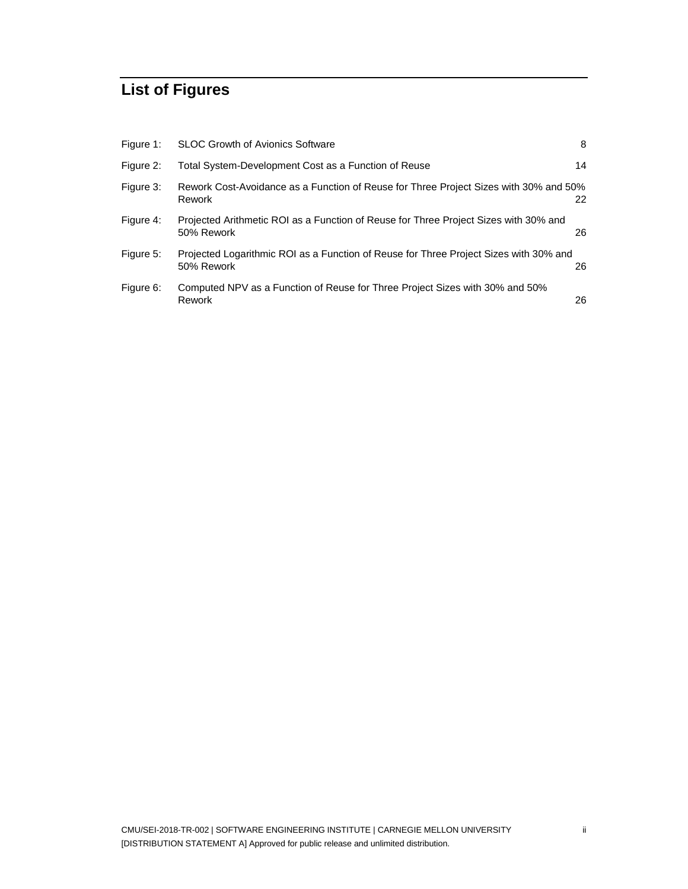# **List of Figures**

| Figure 1: | <b>SLOC Growth of Avionics Software</b>                                                             | 8  |
|-----------|-----------------------------------------------------------------------------------------------------|----|
| Figure 2: | Total System-Development Cost as a Function of Reuse                                                | 14 |
| Figure 3: | Rework Cost-Avoidance as a Function of Reuse for Three Project Sizes with 30% and 50%<br>Rework     | 22 |
| Figure 4: | Projected Arithmetic ROI as a Function of Reuse for Three Project Sizes with 30% and<br>50% Rework  | 26 |
| Figure 5: | Projected Logarithmic ROI as a Function of Reuse for Three Project Sizes with 30% and<br>50% Rework | 26 |
| Figure 6: | Computed NPV as a Function of Reuse for Three Project Sizes with 30% and 50%<br>Rework              | 26 |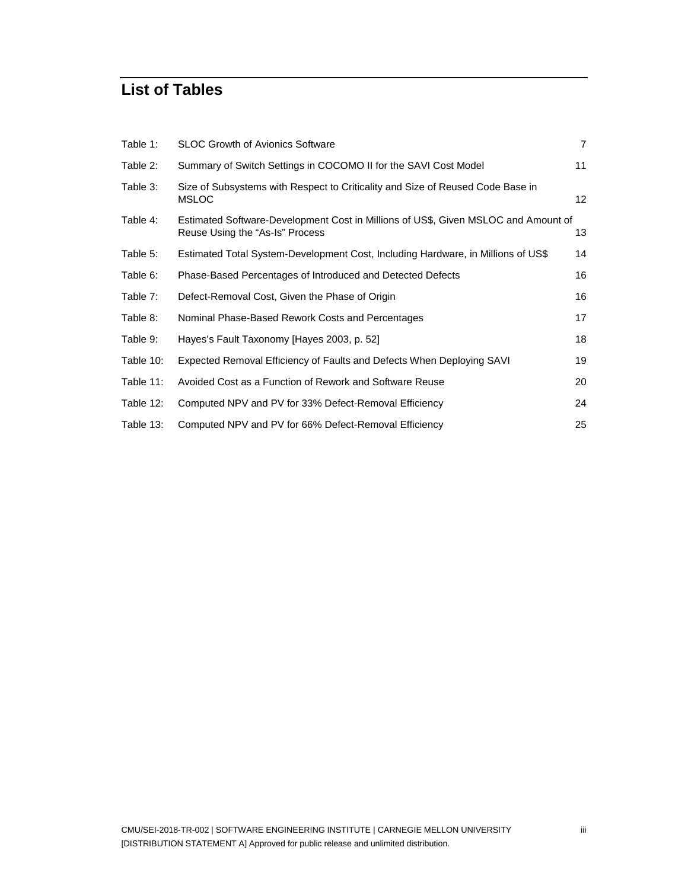# **List of Tables**

| Table 1:  | SLOC Growth of Avionics Software                                                                                      | $\overline{7}$  |
|-----------|-----------------------------------------------------------------------------------------------------------------------|-----------------|
| Table 2:  | Summary of Switch Settings in COCOMO II for the SAVI Cost Model                                                       | 11              |
| Table 3:  | Size of Subsystems with Respect to Criticality and Size of Reused Code Base in<br><b>MSLOC</b>                        | 12 <sup>2</sup> |
| Table 4:  | Estimated Software-Development Cost in Millions of US\$, Given MSLOC and Amount of<br>Reuse Using the "As-Is" Process | 13              |
| Table 5:  | Estimated Total System-Development Cost, Including Hardware, in Millions of US\$                                      | 14              |
| Table 6:  | Phase-Based Percentages of Introduced and Detected Defects                                                            | 16              |
| Table 7:  | Defect-Removal Cost, Given the Phase of Origin                                                                        | 16              |
| Table 8:  | Nominal Phase-Based Rework Costs and Percentages                                                                      | 17              |
| Table 9:  | Hayes's Fault Taxonomy [Hayes 2003, p. 52]                                                                            | 18              |
| Table 10: | Expected Removal Efficiency of Faults and Defects When Deploying SAVI                                                 | 19              |
| Table 11: | Avoided Cost as a Function of Rework and Software Reuse                                                               | 20              |
| Table 12: | Computed NPV and PV for 33% Defect-Removal Efficiency                                                                 | 24              |
| Table 13: | Computed NPV and PV for 66% Defect-Removal Efficiency                                                                 | 25              |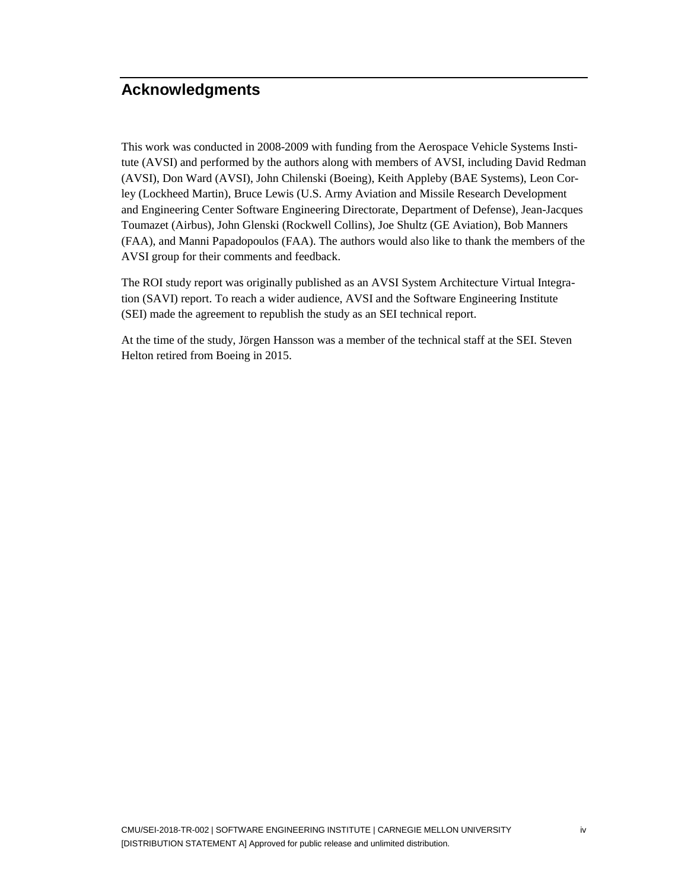# <span id="page-5-0"></span>**Acknowledgments**

This work was conducted in 2008-2009 with funding from the Aerospace Vehicle Systems Institute (AVSI) and performed by the authors along with members of AVSI, including David Redman (AVSI), Don Ward (AVSI), John Chilenski (Boeing), Keith Appleby (BAE Systems), Leon Corley (Lockheed Martin), Bruce Lewis (U.S. Army Aviation and Missile Research Development and Engineering Center Software Engineering Directorate, Department of Defense), Jean-Jacques Toumazet (Airbus), John Glenski (Rockwell Collins), Joe Shultz (GE Aviation), Bob Manners (FAA), and Manni Papadopoulos (FAA). The authors would also like to thank the members of the AVSI group for their comments and feedback.

The ROI study report was originally published as an AVSI System Architecture Virtual Integration (SAVI) report. To reach a wider audience, AVSI and the Software Engineering Institute (SEI) made the agreement to republish the study as an SEI technical report.

At the time of the study, Jörgen Hansson was a member of the technical staff at the SEI. Steven Helton retired from Boeing in 2015.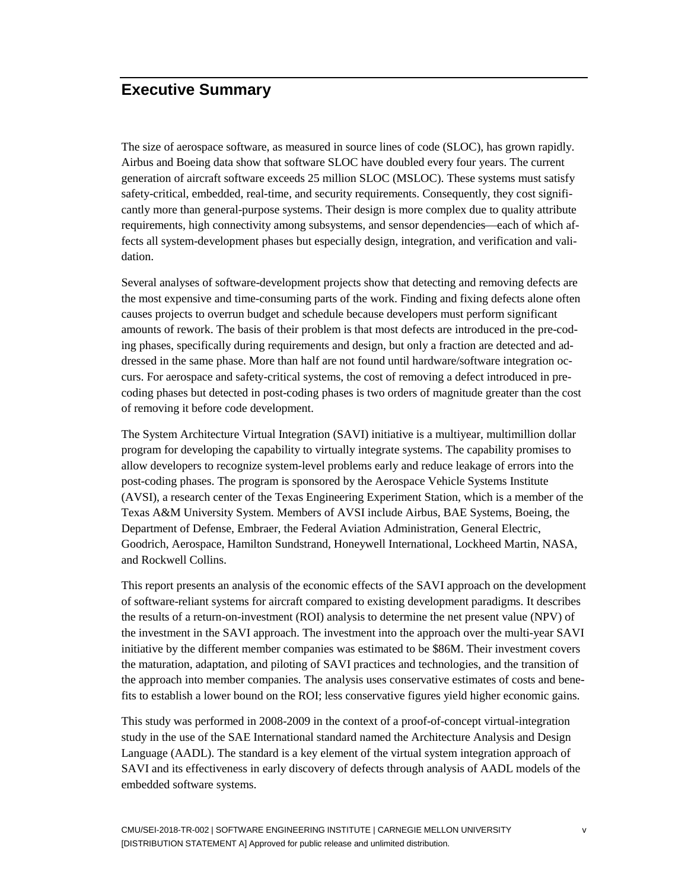### <span id="page-6-0"></span>**Executive Summary**

The size of aerospace software, as measured in source lines of code (SLOC), has grown rapidly. Airbus and Boeing data show that software SLOC have doubled every four years. The current generation of aircraft software exceeds 25 million SLOC (MSLOC). These systems must satisfy safety-critical, embedded, real-time, and security requirements. Consequently, they cost significantly more than general-purpose systems. Their design is more complex due to quality attribute requirements, high connectivity among subsystems, and sensor dependencies—each of which affects all system-development phases but especially design, integration, and verification and validation.

Several analyses of software-development projects show that detecting and removing defects are the most expensive and time-consuming parts of the work. Finding and fixing defects alone often causes projects to overrun budget and schedule because developers must perform significant amounts of rework. The basis of their problem is that most defects are introduced in the pre-coding phases, specifically during requirements and design, but only a fraction are detected and addressed in the same phase. More than half are not found until hardware/software integration occurs. For aerospace and safety-critical systems, the cost of removing a defect introduced in precoding phases but detected in post-coding phases is two orders of magnitude greater than the cost of removing it before code development.

The System Architecture Virtual Integration (SAVI) initiative is a multiyear, multimillion dollar program for developing the capability to virtually integrate systems. The capability promises to allow developers to recognize system-level problems early and reduce leakage of errors into the post-coding phases. The program is sponsored by the Aerospace Vehicle Systems Institute (AVSI), a research center of the Texas Engineering Experiment Station, which is a member of the Texas A&M University System. Members of AVSI include Airbus, BAE Systems, Boeing, the Department of Defense, Embraer, the Federal Aviation Administration, General Electric, Goodrich, Aerospace, Hamilton Sundstrand, Honeywell International, Lockheed Martin, NASA, and Rockwell Collins.

This report presents an analysis of the economic effects of the SAVI approach on the development of software-reliant systems for aircraft compared to existing development paradigms. It describes the results of a return-on-investment (ROI) analysis to determine the net present value (NPV) of the investment in the SAVI approach. The investment into the approach over the multi-year SAVI initiative by the different member companies was estimated to be \$86M. Their investment covers the maturation, adaptation, and piloting of SAVI practices and technologies, and the transition of the approach into member companies. The analysis uses conservative estimates of costs and benefits to establish a lower bound on the ROI; less conservative figures yield higher economic gains.

This study was performed in 2008-2009 in the context of a proof-of-concept virtual-integration study in the use of the SAE International standard named the Architecture Analysis and Design Language (AADL). The standard is a key element of the virtual system integration approach of SAVI and its effectiveness in early discovery of defects through analysis of AADL models of the embedded software systems.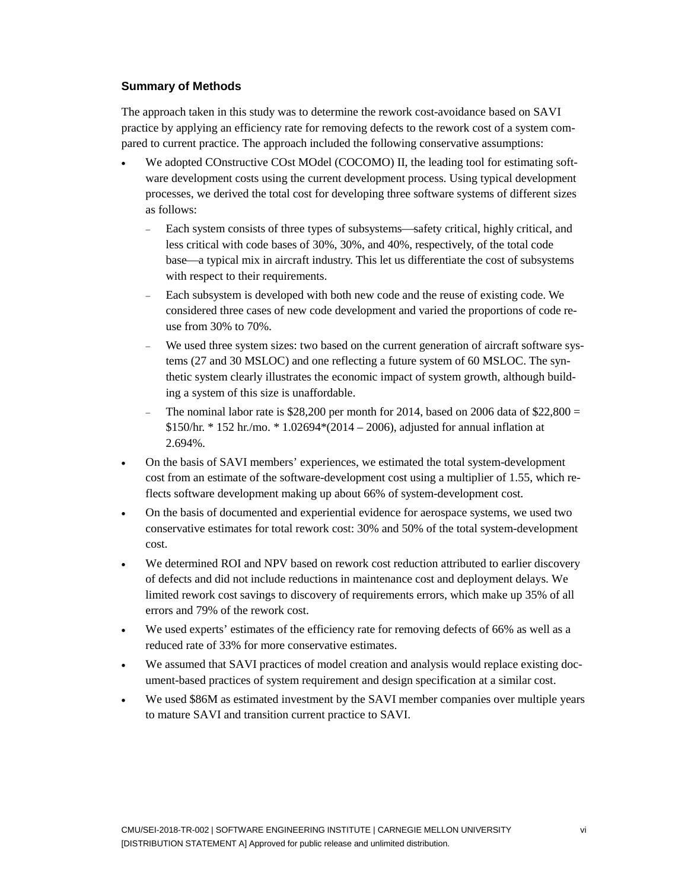#### **Summary of Methods**

The approach taken in this study was to determine the rework cost-avoidance based on SAVI practice by applying an efficiency rate for removing defects to the rework cost of a system compared to current practice. The approach included the following conservative assumptions:

- We adopted COnstructive COst MOdel (COCOMO) II, the leading tool for estimating software development costs using the current development process. Using typical development processes, we derived the total cost for developing three software systems of different sizes as follows:
	- Each system consists of three types of subsystems—safety critical, highly critical, and less critical with code bases of 30%, 30%, and 40%, respectively, of the total code base—a typical mix in aircraft industry. This let us differentiate the cost of subsystems with respect to their requirements.
	- Each subsystem is developed with both new code and the reuse of existing code. We considered three cases of new code development and varied the proportions of code reuse from 30% to 70%.
	- We used three system sizes: two based on the current generation of aircraft software systems (27 and 30 MSLOC) and one reflecting a future system of 60 MSLOC. The synthetic system clearly illustrates the economic impact of system growth, although building a system of this size is unaffordable.
	- The nominal labor rate is \$28,200 per month for 2014, based on 2006 data of \$22,800 = \$150/hr. \* 152 hr./mo. \* 1.02694\*(2014 – 2006), adjusted for annual inflation at 2.694%.
- On the basis of SAVI members' experiences, we estimated the total system-development cost from an estimate of the software-development cost using a multiplier of 1.55, which reflects software development making up about 66% of system-development cost.
- On the basis of documented and experiential evidence for aerospace systems, we used two conservative estimates for total rework cost: 30% and 50% of the total system-development cost.
- We determined ROI and NPV based on rework cost reduction attributed to earlier discovery of defects and did not include reductions in maintenance cost and deployment delays. We limited rework cost savings to discovery of requirements errors, which make up 35% of all errors and 79% of the rework cost.
- We used experts' estimates of the efficiency rate for removing defects of 66% as well as a reduced rate of 33% for more conservative estimates.
- We assumed that SAVI practices of model creation and analysis would replace existing document-based practices of system requirement and design specification at a similar cost.
- We used \$86M as estimated investment by the SAVI member companies over multiple years to mature SAVI and transition current practice to SAVI.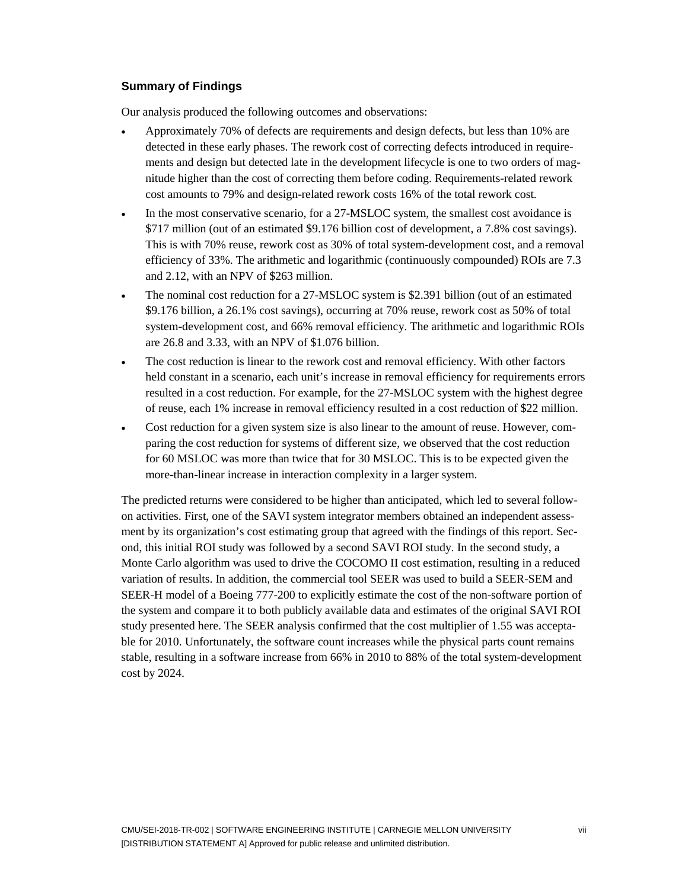#### **Summary of Findings**

Our analysis produced the following outcomes and observations:

- Approximately 70% of defects are requirements and design defects, but less than 10% are detected in these early phases. The rework cost of correcting defects introduced in requirements and design but detected late in the development lifecycle is one to two orders of magnitude higher than the cost of correcting them before coding. Requirements-related rework cost amounts to 79% and design-related rework costs 16% of the total rework cost.
- In the most conservative scenario, for a 27-MSLOC system, the smallest cost avoidance is \$717 million (out of an estimated \$9.176 billion cost of development, a 7.8% cost savings). This is with 70% reuse, rework cost as 30% of total system-development cost, and a removal efficiency of 33%. The arithmetic and logarithmic (continuously compounded) ROIs are 7.3 and 2.12, with an NPV of \$263 million.
- The nominal cost reduction for a 27-MSLOC system is \$2.391 billion (out of an estimated \$9.176 billion, a 26.1% cost savings), occurring at 70% reuse, rework cost as 50% of total system-development cost, and 66% removal efficiency. The arithmetic and logarithmic ROIs are 26.8 and 3.33, with an NPV of \$1.076 billion.
- The cost reduction is linear to the rework cost and removal efficiency. With other factors held constant in a scenario, each unit's increase in removal efficiency for requirements errors resulted in a cost reduction. For example, for the 27-MSLOC system with the highest degree of reuse, each 1% increase in removal efficiency resulted in a cost reduction of \$22 million.
- Cost reduction for a given system size is also linear to the amount of reuse. However, comparing the cost reduction for systems of different size, we observed that the cost reduction for 60 MSLOC was more than twice that for 30 MSLOC. This is to be expected given the more-than-linear increase in interaction complexity in a larger system.

The predicted returns were considered to be higher than anticipated, which led to several followon activities. First, one of the SAVI system integrator members obtained an independent assessment by its organization's cost estimating group that agreed with the findings of this report. Second, this initial ROI study was followed by a second SAVI ROI study. In the second study, a Monte Carlo algorithm was used to drive the COCOMO II cost estimation, resulting in a reduced variation of results. In addition, the commercial tool SEER was used to build a SEER-SEM and SEER-H model of a Boeing 777-200 to explicitly estimate the cost of the non-software portion of the system and compare it to both publicly available data and estimates of the original SAVI ROI study presented here. The SEER analysis confirmed that the cost multiplier of 1.55 was acceptable for 2010. Unfortunately, the software count increases while the physical parts count remains stable, resulting in a software increase from 66% in 2010 to 88% of the total system-development cost by 2024.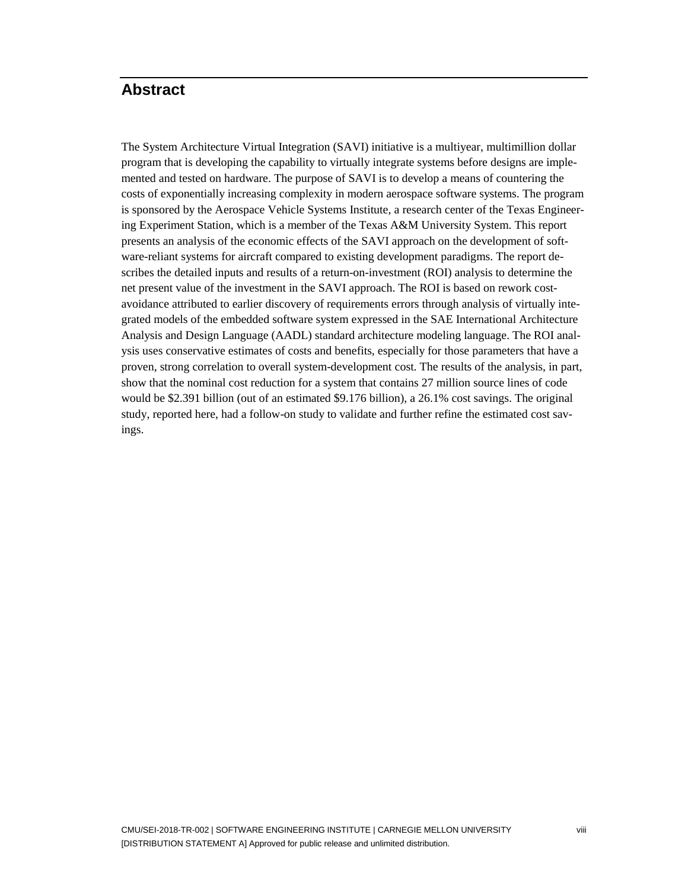### <span id="page-9-0"></span>**Abstract**

The System Architecture Virtual Integration (SAVI) initiative is a multiyear, multimillion dollar program that is developing the capability to virtually integrate systems before designs are implemented and tested on hardware. The purpose of SAVI is to develop a means of countering the costs of exponentially increasing complexity in modern aerospace software systems. The program is sponsored by the Aerospace Vehicle Systems Institute, a research center of the Texas Engineering Experiment Station, which is a member of the Texas A&M University System. This report presents an analysis of the economic effects of the SAVI approach on the development of software-reliant systems for aircraft compared to existing development paradigms. The report describes the detailed inputs and results of a return-on-investment (ROI) analysis to determine the net present value of the investment in the SAVI approach. The ROI is based on rework costavoidance attributed to earlier discovery of requirements errors through analysis of virtually integrated models of the embedded software system expressed in the SAE International Architecture Analysis and Design Language (AADL) standard architecture modeling language. The ROI analysis uses conservative estimates of costs and benefits, especially for those parameters that have a proven, strong correlation to overall system-development cost. The results of the analysis, in part, show that the nominal cost reduction for a system that contains 27 million source lines of code would be \$2.391 billion (out of an estimated \$9.176 billion), a 26.1% cost savings. The original study, reported here, had a follow-on study to validate and further refine the estimated cost savings.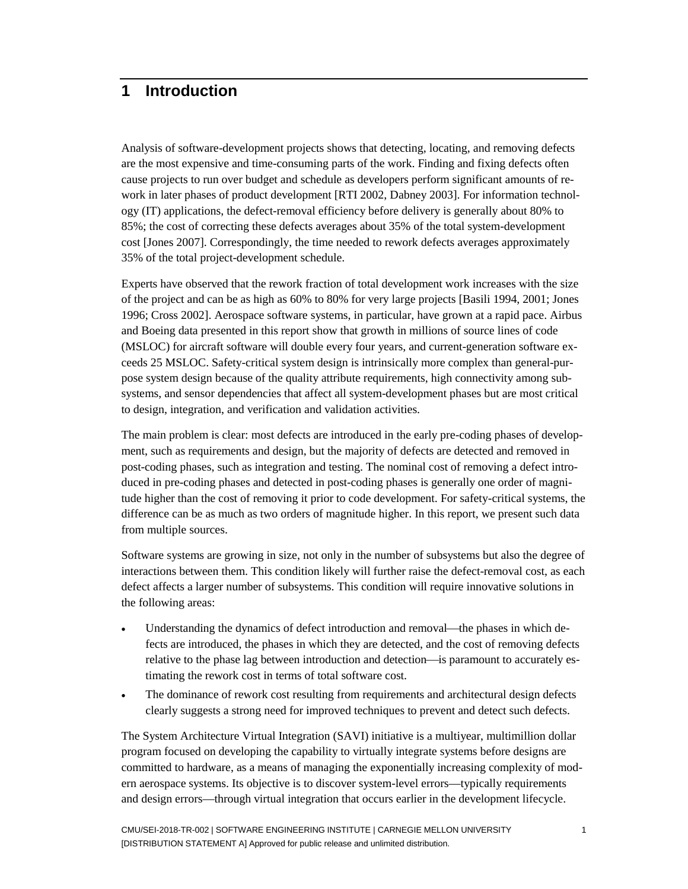# <span id="page-10-0"></span>**1 Introduction**

Analysis of software-development projects shows that detecting, locating, and removing defects are the most expensive and time-consuming parts of the work. Finding and fixing defects often cause projects to run over budget and schedule as developers perform significant amounts of rework in later phases of product development [RTI 2002, Dabney 2003]. For information technology (IT) applications, the defect-removal efficiency before delivery is generally about 80% to 85%; the cost of correcting these defects averages about 35% of the total system-development cost [Jones 2007]. Correspondingly, the time needed to rework defects averages approximately 35% of the total project-development schedule.

Experts have observed that the rework fraction of total development work increases with the size of the project and can be as high as 60% to 80% for very large projects [Basili 1994, 2001; Jones 1996; Cross 2002]. Aerospace software systems, in particular, have grown at a rapid pace. Airbus and Boeing data presented in this report show that growth in millions of source lines of code (MSLOC) for aircraft software will double every four years, and current-generation software exceeds 25 MSLOC. Safety-critical system design is intrinsically more complex than general-purpose system design because of the quality attribute requirements, high connectivity among subsystems, and sensor dependencies that affect all system-development phases but are most critical to design, integration, and verification and validation activities.

The main problem is clear: most defects are introduced in the early pre-coding phases of development, such as requirements and design, but the majority of defects are detected and removed in post-coding phases, such as integration and testing. The nominal cost of removing a defect introduced in pre-coding phases and detected in post-coding phases is generally one order of magnitude higher than the cost of removing it prior to code development. For safety-critical systems, the difference can be as much as two orders of magnitude higher. In this report, we present such data from multiple sources.

Software systems are growing in size, not only in the number of subsystems but also the degree of interactions between them. This condition likely will further raise the defect-removal cost, as each defect affects a larger number of subsystems. This condition will require innovative solutions in the following areas:

- Understanding the dynamics of defect introduction and removal—the phases in which defects are introduced, the phases in which they are detected, and the cost of removing defects relative to the phase lag between introduction and detection—is paramount to accurately estimating the rework cost in terms of total software cost.
- The dominance of rework cost resulting from requirements and architectural design defects clearly suggests a strong need for improved techniques to prevent and detect such defects.

The System Architecture Virtual Integration (SAVI) initiative is a multiyear, multimillion dollar program focused on developing the capability to virtually integrate systems before designs are committed to hardware, as a means of managing the exponentially increasing complexity of modern aerospace systems. Its objective is to discover system-level errors—typically requirements and design errors—through virtual integration that occurs earlier in the development lifecycle.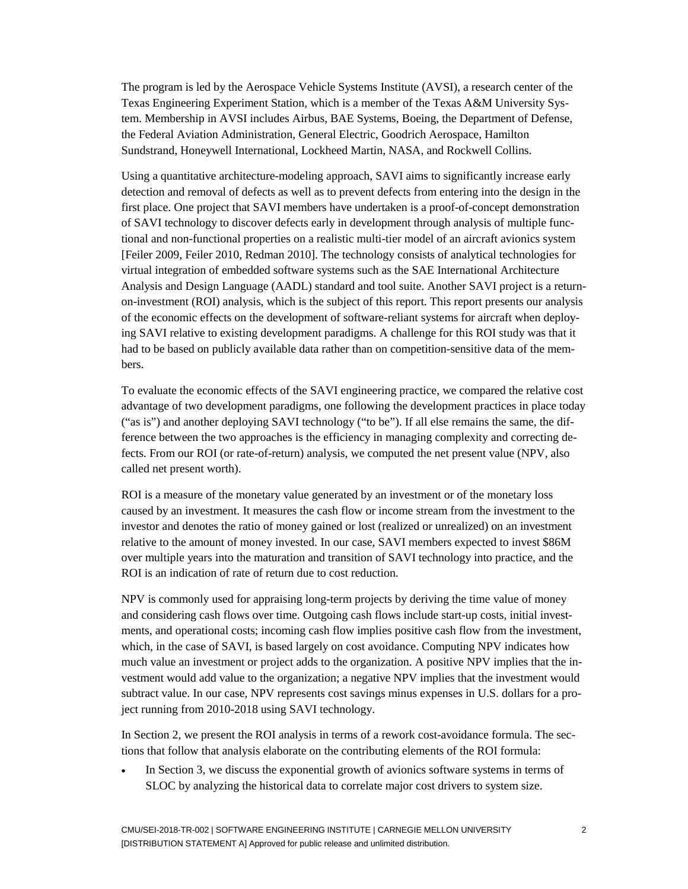The program is led by the Aerospace Vehicle Systems Institute (AVSI), a research center of the Texas Engineering Experiment Station, which is a member of the Texas A&M University System. Membership in AVSI includes Airbus, BAE Systems, Boeing, the Department of Defense, the Federal Aviation Administration, General Electric, Goodrich Aerospace, Hamilton Sundstrand, Honeywell International, Lockheed Martin, NASA, and Rockwell Collins.

Using a quantitative architecture-modeling approach, SAVI aims to significantly increase early detection and removal of defects as well as to prevent defects from entering into the design in the first place. One project that SAVI members have undertaken is a proof-of-concept demonstration of SAVI technology to discover defects early in development through analysis of multiple functional and non-functional properties on a realistic multi-tier model of an aircraft avionics system [Feiler 2009, Feiler 2010, Redman 2010]. The technology consists of analytical technologies for virtual integration of embedded software systems such as the SAE International Architecture Analysis and Design Language (AADL) standard and tool suite. Another SAVI project is a returnon-investment (ROI) analysis, which is the subject of this report. This report presents our analysis of the economic effects on the development of software-reliant systems for aircraft when deploying SAVI relative to existing development paradigms. A challenge for this ROI study was that it had to be based on publicly available data rather than on competition-sensitive data of the members.

To evaluate the economic effects of the SAVI engineering practice, we compared the relative cost advantage of two development paradigms, one following the development practices in place today ("as is") and another deploying SAVI technology ("to be"). If all else remains the same, the difference between the two approaches is the efficiency in managing complexity and correcting defects. From our ROI (or rate-of-return) analysis, we computed the net present value (NPV, also called net present worth).

ROI is a measure of the monetary value generated by an investment or of the monetary loss caused by an investment. It measures the cash flow or income stream from the investment to the investor and denotes the ratio of money gained or lost (realized or unrealized) on an investment relative to the amount of money invested. In our case, SAVI members expected to invest \$86M over multiple years into the maturation and transition of SAVI technology into practice, and the ROI is an indication of rate of return due to cost reduction.

NPV is commonly used for appraising long-term projects by deriving the time value of money and considering cash flows over time. Outgoing cash flows include start-up costs, initial investments, and operational costs; incoming cash flow implies positive cash flow from the investment, which, in the case of SAVI, is based largely on cost avoidance. Computing NPV indicates how much value an investment or project adds to the organization. A positive NPV implies that the investment would add value to the organization; a negative NPV implies that the investment would subtract value. In our case, NPV represents cost savings minus expenses in U.S. dollars for a project running from 2010-2018 using SAVI technology.

In Section [2,](#page-13-0) we present the ROI analysis in terms of a rework cost-avoidance formula. The sections that follow that analysis elaborate on the contributing elements of the ROI formula:

• In Section [3,](#page-16-0) we discuss the exponential growth of avionics software systems in terms of SLOC by analyzing the historical data to correlate major cost drivers to system size.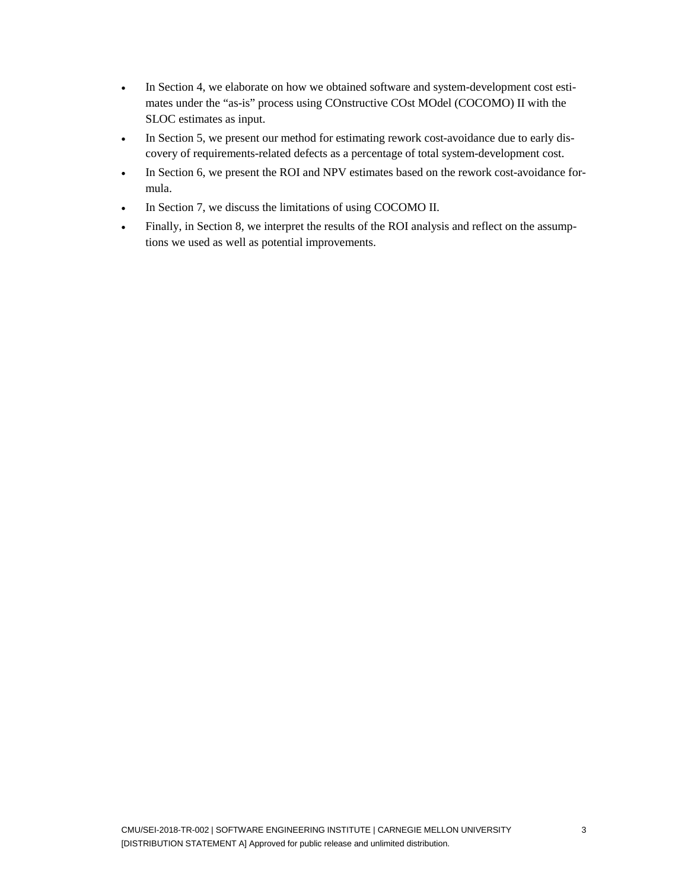- In Section [4,](#page-18-0) we elaborate on how we obtained software and system-development cost estimates under the "as-is" process using COnstructive COst MOdel (COCOMO) II with the SLOC estimates as input.
- In Section [5,](#page-24-0) we present our method for estimating rework cost-avoidance due to early discovery of requirements-related defects as a percentage of total system-development cost.
- In Section [6,](#page-32-0) we present the ROI and NPV estimates based on the rework cost-avoidance formula.
- In Section [7,](#page-36-0) we discuss the limitations of using COCOMO II.
- Finally, in Section [8,](#page-39-0) we interpret the results of the ROI analysis and reflect on the assumptions we used as well as potential improvements.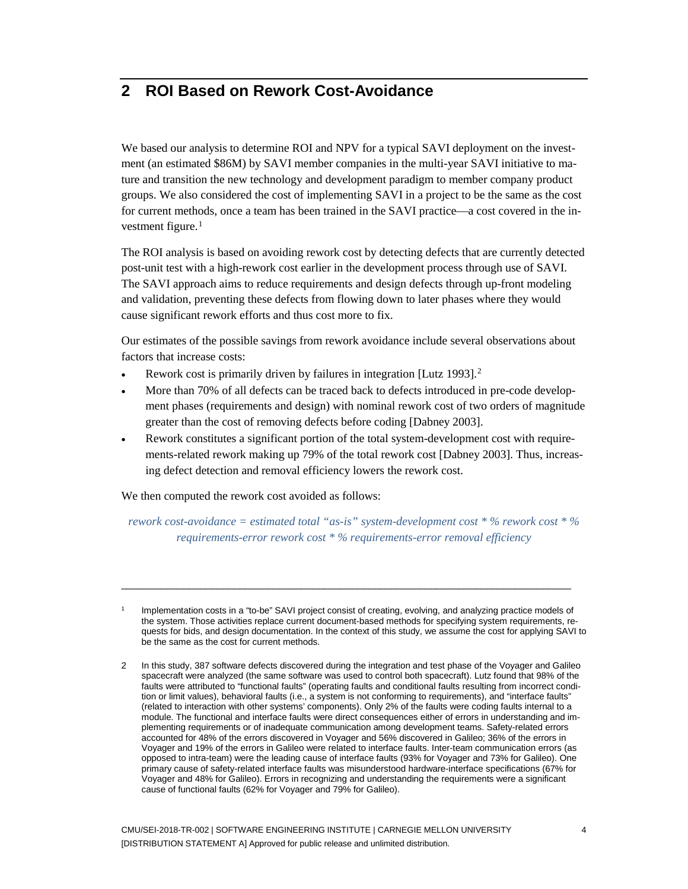# <span id="page-13-0"></span>**2 ROI Based on Rework Cost-Avoidance**

We based our analysis to determine ROI and NPV for a typical SAVI deployment on the investment (an estimated \$86M) by SAVI member companies in the multi-year SAVI initiative to mature and transition the new technology and development paradigm to member company product groups. We also considered the cost of implementing SAVI in a project to be the same as the cost for current methods, once a team has been trained in the SAVI practice—a cost covered in the investment figure. $<sup>1</sup>$  $<sup>1</sup>$  $<sup>1</sup>$ </sup>

The ROI analysis is based on avoiding rework cost by detecting defects that are currently detected post-unit test with a high-rework cost earlier in the development process through use of SAVI. The SAVI approach aims to reduce requirements and design defects through up-front modeling and validation, preventing these defects from flowing down to later phases where they would cause significant rework efforts and thus cost more to fix.

Our estimates of the possible savings from rework avoidance include several observations about factors that increase costs:

- Rework cost is primarily driven by failures in integration [Lutz 1993].<sup>[2](#page-13-2)</sup>
- More than 70% of all defects can be traced back to defects introduced in pre-code development phases (requirements and design) with nominal rework cost of two orders of magnitude greater than the cost of removing defects before coding [Dabney 2003].
- Rework constitutes a significant portion of the total system-development cost with requirements-related rework making up 79% of the total rework cost [Dabney 2003]. Thus, increasing defect detection and removal efficiency lowers the rework cost.

<span id="page-13-3"></span>We then computed the rework cost avoided as follows:

*rework cost-avoidance = estimated total "as-is" system-development cost \* % rework cost \* % requirements-error rework cost \* % requirements-error removal efficiency*

\_\_\_\_\_\_\_\_\_\_\_\_\_\_\_\_\_\_\_\_\_\_\_\_\_\_\_\_\_\_\_\_\_\_\_\_\_\_\_\_\_\_\_\_\_\_\_\_\_\_\_\_\_\_\_\_\_\_\_\_\_\_\_\_\_\_\_\_\_\_\_\_\_\_\_\_\_\_\_\_

<span id="page-13-1"></span>Implementation costs in a "to-be" SAVI project consist of creating, evolving, and analyzing practice models of the system. Those activities replace current document-based methods for specifying system requirements, requests for bids, and design documentation. In the context of this study, we assume the cost for applying SAVI to be the same as the cost for current methods.

<span id="page-13-2"></span><sup>2</sup> In this study, 387 software defects discovered during the integration and test phase of the Voyager and Galileo spacecraft were analyzed (the same software was used to control both spacecraft). Lutz found that 98% of the faults were attributed to "functional faults" (operating faults and conditional faults resulting from incorrect condition or limit values), behavioral faults (i.e., a system is not conforming to requirements), and "interface faults" (related to interaction with other systems' components). Only 2% of the faults were coding faults internal to a module. The functional and interface faults were direct consequences either of errors in understanding and implementing requirements or of inadequate communication among development teams. Safety-related errors accounted for 48% of the errors discovered in Voyager and 56% discovered in Galileo; 36% of the errors in Voyager and 19% of the errors in Galileo were related to interface faults. Inter-team communication errors (as opposed to intra-team) were the leading cause of interface faults (93% for Voyager and 73% for Galileo). One primary cause of safety-related interface faults was misunderstood hardware-interface specifications (67% for Voyager and 48% for Galileo). Errors in recognizing and understanding the requirements were a significant cause of functional faults (62% for Voyager and 79% for Galileo).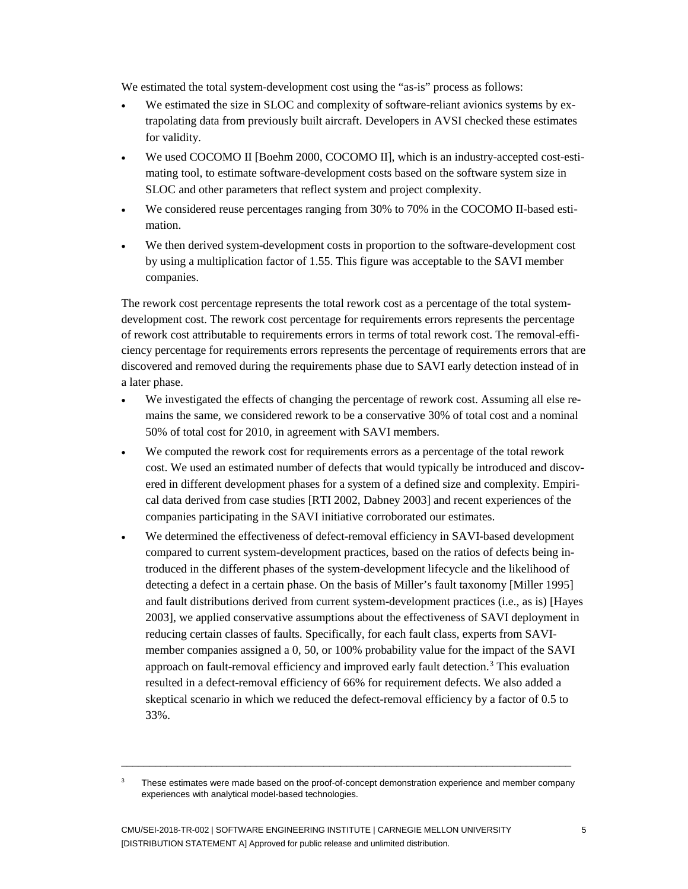We estimated the total system-development cost using the "as-is" process as follows:

- We estimated the size in SLOC and complexity of software-reliant avionics systems by extrapolating data from previously built aircraft. Developers in AVSI checked these estimates for validity.
- We used COCOMO II [Boehm 2000, COCOMO II], which is an industry-accepted cost-estimating tool, to estimate software-development costs based on the software system size in SLOC and other parameters that reflect system and project complexity.
- We considered reuse percentages ranging from 30% to 70% in the COCOMO II-based estimation.
- We then derived system-development costs in proportion to the software-development cost by using a multiplication factor of 1.55. This figure was acceptable to the SAVI member companies.

The rework cost percentage represents the total rework cost as a percentage of the total systemdevelopment cost. The rework cost percentage for requirements errors represents the percentage of rework cost attributable to requirements errors in terms of total rework cost. The removal-efficiency percentage for requirements errors represents the percentage of requirements errors that are discovered and removed during the requirements phase due to SAVI early detection instead of in a later phase.

- We investigated the effects of changing the percentage of rework cost. Assuming all else remains the same, we considered rework to be a conservative 30% of total cost and a nominal 50% of total cost for 2010, in agreement with SAVI members.
- We computed the rework cost for requirements errors as a percentage of the total rework cost. We used an estimated number of defects that would typically be introduced and discovered in different development phases for a system of a defined size and complexity. Empirical data derived from case studies [RTI 2002, Dabney 2003] and recent experiences of the companies participating in the SAVI initiative corroborated our estimates.
- We determined the effectiveness of defect-removal efficiency in SAVI-based development compared to current system-development practices, based on the ratios of defects being introduced in the different phases of the system-development lifecycle and the likelihood of detecting a defect in a certain phase. On the basis of Miller's fault taxonomy [Miller 1995] and fault distributions derived from current system-development practices (i.e., as is) [Hayes 2003], we applied conservative assumptions about the effectiveness of SAVI deployment in reducing certain classes of faults. Specifically, for each fault class, experts from SAVImember companies assigned a 0, 50, or 100% probability value for the impact of the SAVI approach on fault-removal efficiency and improved early fault detection.[3](#page-14-0) This evaluation resulted in a defect-removal efficiency of 66% for requirement defects. We also added a skeptical scenario in which we reduced the defect-removal efficiency by a factor of 0.5 to 33%.

\_\_\_\_\_\_\_\_\_\_\_\_\_\_\_\_\_\_\_\_\_\_\_\_\_\_\_\_\_\_\_\_\_\_\_\_\_\_\_\_\_\_\_\_\_\_\_\_\_\_\_\_\_\_\_\_\_\_\_\_\_\_\_\_\_\_\_\_\_\_\_\_\_\_\_\_\_\_\_\_

<span id="page-14-0"></span><sup>&</sup>lt;sup>3</sup> These estimates were made based on the proof-of-concept demonstration experience and member company experiences with analytical model-based technologies.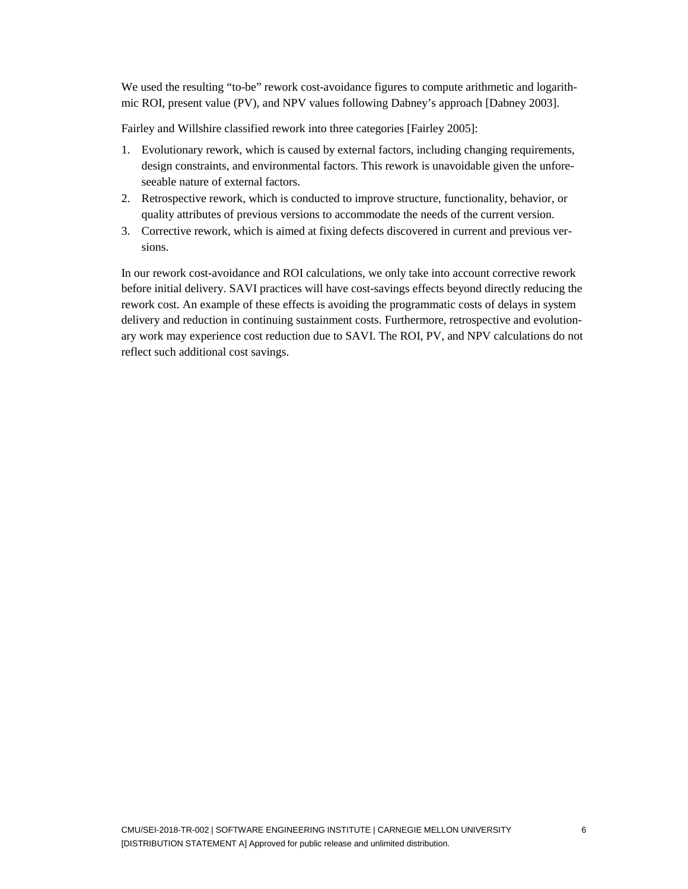We used the resulting "to-be" rework cost-avoidance figures to compute arithmetic and logarithmic ROI, present value (PV), and NPV values following Dabney's approach [Dabney 2003].

Fairley and Willshire classified rework into three categories [Fairley 2005]:

- 1. Evolutionary rework, which is caused by external factors, including changing requirements, design constraints, and environmental factors. This rework is unavoidable given the unforeseeable nature of external factors.
- 2. Retrospective rework, which is conducted to improve structure, functionality, behavior, or quality attributes of previous versions to accommodate the needs of the current version.
- 3. Corrective rework, which is aimed at fixing defects discovered in current and previous versions.

In our rework cost-avoidance and ROI calculations, we only take into account corrective rework before initial delivery. SAVI practices will have cost-savings effects beyond directly reducing the rework cost. An example of these effects is avoiding the programmatic costs of delays in system delivery and reduction in continuing sustainment costs. Furthermore, retrospective and evolutionary work may experience cost reduction due to SAVI. The ROI, PV, and NPV calculations do not reflect such additional cost savings.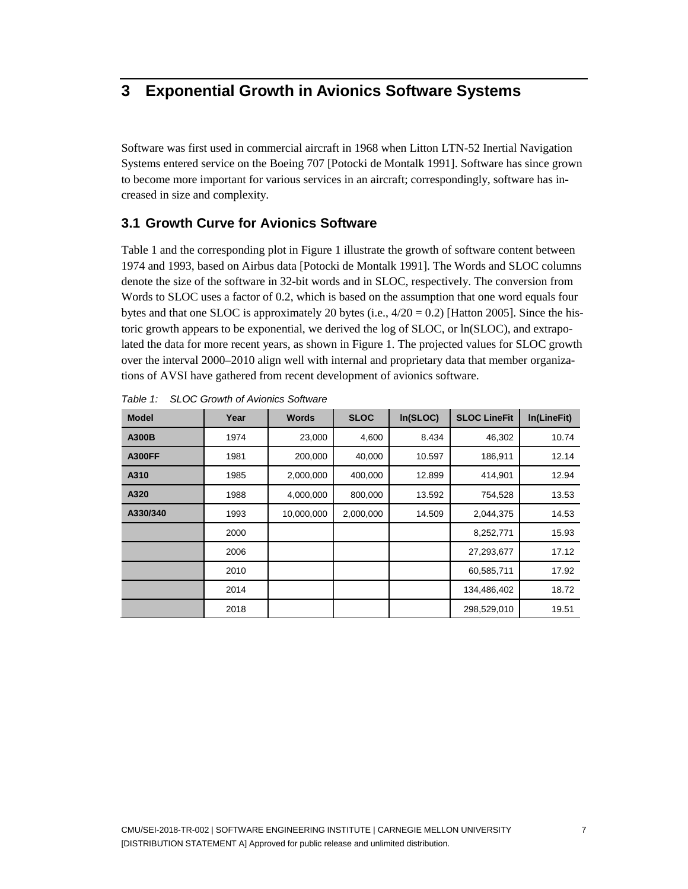# <span id="page-16-0"></span>**3 Exponential Growth in Avionics Software Systems**

Software was first used in commercial aircraft in 1968 when Litton LTN-52 Inertial Navigation Systems entered service on the Boeing 707 [Potocki de Montalk 1991]. Software has since grown to become more important for various services in an aircraft; correspondingly, software has increased in size and complexity.

### <span id="page-16-1"></span>**3.1 Growth Curve for Avionics Software**

Table 1 and the corresponding plot in Figure 1 illustrate the growth of software content between 1974 and 1993, based on Airbus data [Potocki de Montalk 1991]. The Words and SLOC columns denote the size of the software in 32-bit words and in SLOC, respectively. The conversion from Words to SLOC uses a factor of 0.2, which is based on the assumption that one word equals four bytes and that one SLOC is approximately 20 bytes (i.e.,  $4/20 = 0.2$ ) [Hatton 2005]. Since the historic growth appears to be exponential, we derived the log of SLOC, or ln(SLOC), and extrapolated the data for more recent years, as shown in Figure 1. The projected values for SLOC growth over the interval 2000–2010 align well with internal and proprietary data that member organizations of AVSI have gathered from recent development of avionics software.

| <b>Model</b>  | Year | <b>Words</b> | <b>SLOC</b> | In(SLOC) | <b>SLOC LineFit</b> | In(LineFit) |
|---------------|------|--------------|-------------|----------|---------------------|-------------|
| A300B         | 1974 | 23,000       | 4,600       | 8.434    | 46,302              | 10.74       |
| <b>A300FF</b> | 1981 | 200,000      | 40,000      | 10.597   | 186,911             | 12.14       |
| A310          | 1985 | 2,000,000    | 400,000     | 12.899   | 414,901             | 12.94       |
| A320          | 1988 | 4,000,000    | 800,000     | 13.592   | 754,528             | 13.53       |
| A330/340      | 1993 | 10,000,000   | 2,000,000   | 14.509   | 2,044,375           | 14.53       |
|               | 2000 |              |             |          | 8,252,771           | 15.93       |
|               | 2006 |              |             |          | 27,293,677          | 17.12       |
|               | 2010 |              |             |          | 60,585,711          | 17.92       |
|               | 2014 |              |             |          | 134,486,402         | 18.72       |
|               | 2018 |              |             |          | 298,529,010         | 19.51       |

<span id="page-16-2"></span>*Table 1: SLOC Growth of Avionics Software*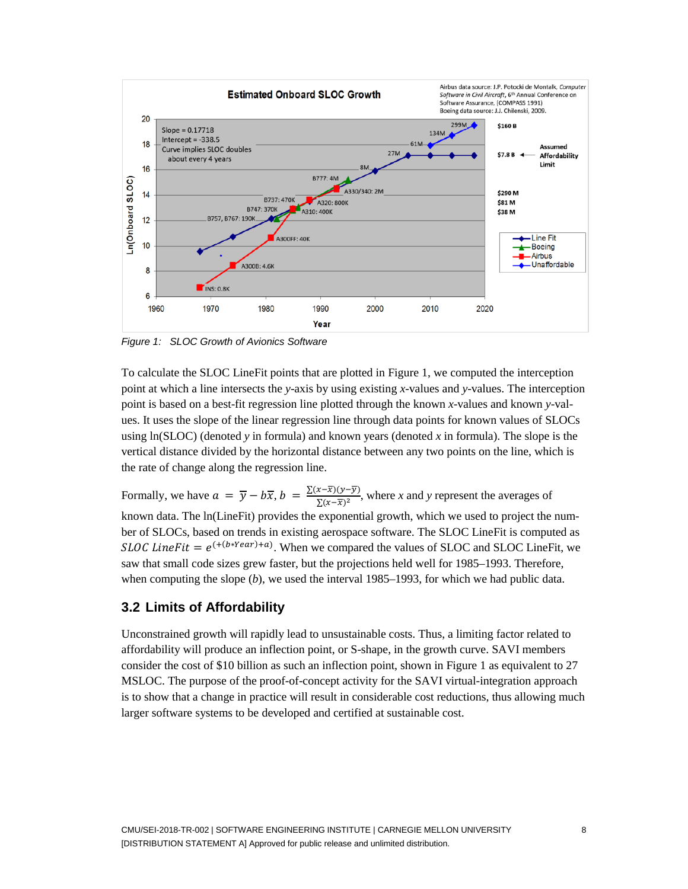

<span id="page-17-1"></span>*Figure 1: SLOC Growth of Avionics Software*

To calculate the SLOC LineFit points that are plotted in [Figure 1,](#page-17-1) we computed the interception point at which a line intersects the *y*-axis by using existing *x*-values and *y*-values. The interception point is based on a best-fit regression line plotted through the known *x*-values and known *y*-values. It uses the slope of the linear regression line through data points for known values of SLOCs using ln(SLOC) (denoted *y* in formula) and known years (denoted *x* in formula). The slope is the vertical distance divided by the horizontal distance between any two points on the line, which is the rate of change along the regression line.

Formally, we have  $a = \overline{y} - b\overline{x}$ ,  $b = \frac{\sum (x - x)(y - y)}{\sum (x - \overline{x})^2}$ , where *x* and *y* represent the averages of known data. The ln(LineFit) provides the exponential growth, which we used to project the number of SLOCs, based on trends in existing aerospace software. The SLOC LineFit is computed as *SLOC LineFit* =  $e^{(+(b*)\cdot \text{Year})+a)}$ . When we compared the values of SLOC and SLOC LineFit, we saw that small code sizes grew faster, but the projections held well for 1985–1993. Therefore, when computing the slope (*b*), we used the interval 1985–1993, for which we had public data.

#### <span id="page-17-0"></span>**3.2 Limits of Affordability**

Unconstrained growth will rapidly lead to unsustainable costs. Thus, a limiting factor related to affordability will produce an inflection point, or S-shape, in the growth curve. SAVI members consider the cost of \$10 billion as such an inflection point, shown in [Figure 1](#page-17-1) as equivalent to 27 MSLOC. The purpose of the proof-of-concept activity for the SAVI virtual-integration approach is to show that a change in practice will result in considerable cost reductions, thus allowing much larger software systems to be developed and certified at sustainable cost.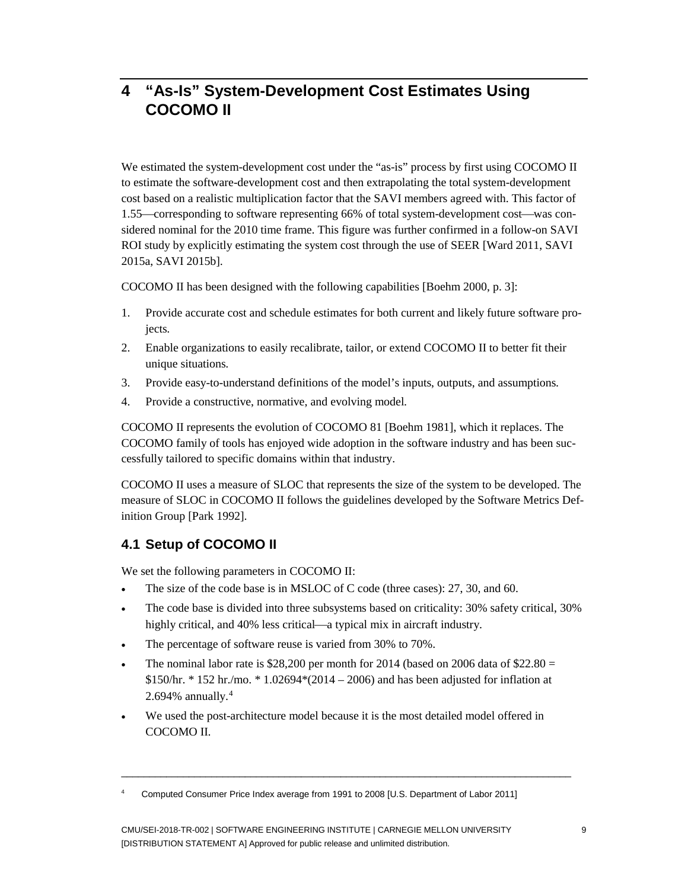# <span id="page-18-0"></span>**4 "As-Is" System-Development Cost Estimates Using COCOMO II**

We estimated the system-development cost under the "as-is" process by first using COCOMO II to estimate the software-development cost and then extrapolating the total system-development cost based on a realistic multiplication factor that the SAVI members agreed with. This factor of 1.55—corresponding to software representing 66% of total system-development cost—was considered nominal for the 2010 time frame. This figure was further confirmed in a follow-on SAVI ROI study by explicitly estimating the system cost through the use of SEER [Ward 2011, SAVI 2015a, SAVI 2015b].

COCOMO II has been designed with the following capabilities [Boehm 2000, p. 3]:

- 1. Provide accurate cost and schedule estimates for both current and likely future software projects*.*
- 2. Enable organizations to easily recalibrate, tailor, or extend COCOMO II to better fit their unique situations*.*
- 3. Provide easy-to-understand definitions of the model's inputs, outputs, and assumptions*.*
- 4. Provide a constructive, normative, and evolving model*.*

COCOMO II represents the evolution of COCOMO 81 [Boehm 1981], which it replaces. The COCOMO family of tools has enjoyed wide adoption in the software industry and has been successfully tailored to specific domains within that industry.

COCOMO II uses a measure of SLOC that represents the size of the system to be developed. The measure of SLOC in COCOMO II follows the guidelines developed by the Software Metrics Definition Group [Park 1992].

### <span id="page-18-1"></span>**4.1 Setup of COCOMO II**

We set the following parameters in COCOMO II:

- The size of the code base is in MSLOC of C code (three cases): 27, 30, and 60.
- The code base is divided into three subsystems based on criticality: 30% safety critical, 30% highly critical, and 40% less critical—a typical mix in aircraft industry.
- The percentage of software reuse is varied from 30% to 70%.
- The nominal labor rate is \$28,200 per month for 2014 (based on 2006 data of \$22.80  $=$ \$150/hr. \* 152 hr./mo. \* 1.02694\*(2014 – 2006) and has been adjusted for inflation at 2.69[4](#page-18-2)% annually. $4$
- We used the post-architecture model because it is the most detailed model offered in COCOMO II.

\_\_\_\_\_\_\_\_\_\_\_\_\_\_\_\_\_\_\_\_\_\_\_\_\_\_\_\_\_\_\_\_\_\_\_\_\_\_\_\_\_\_\_\_\_\_\_\_\_\_\_\_\_\_\_\_\_\_\_\_\_\_\_\_\_\_\_\_\_\_\_\_\_\_\_\_\_\_\_\_

<span id="page-18-2"></span><sup>4</sup> Computed Consumer Price Index average from 1991 to 2008 [U.S. Department of Labor 2011]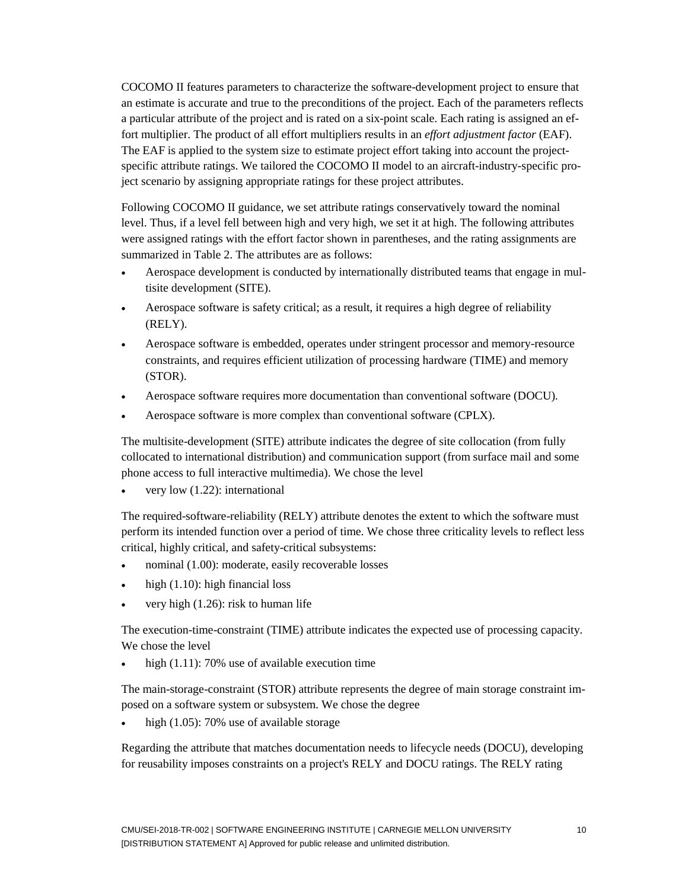COCOMO II features parameters to characterize the software-development project to ensure that an estimate is accurate and true to the preconditions of the project. Each of the parameters reflects a particular attribute of the project and is rated on a six-point scale. Each rating is assigned an effort multiplier. The product of all effort multipliers results in an *effort adjustment factor* (EAF). The EAF is applied to the system size to estimate project effort taking into account the projectspecific attribute ratings. We tailored the COCOMO II model to an aircraft-industry-specific project scenario by assigning appropriate ratings for these project attributes.

Following COCOMO II guidance, we set attribute ratings conservatively toward the nominal level. Thus, if a level fell between high and very high, we set it at high. The following attributes were assigned ratings with the effort factor shown in parentheses, and the rating assignments are summarized i[n Table 2.](#page-20-0) The attributes are as follows:

- Aerospace development is conducted by internationally distributed teams that engage in multisite development (SITE).
- Aerospace software is safety critical; as a result, it requires a high degree of reliability (RELY).
- Aerospace software is embedded, operates under stringent processor and memory-resource constraints, and requires efficient utilization of processing hardware (TIME) and memory (STOR).
- Aerospace software requires more documentation than conventional software (DOCU).
- Aerospace software is more complex than conventional software (CPLX).

The multisite-development (SITE) attribute indicates the degree of site collocation (from fully collocated to international distribution) and communication support (from surface mail and some phone access to full interactive multimedia). We chose the level

very low  $(1.22)$ : international

The required-software-reliability (RELY) attribute denotes the extent to which the software must perform its intended function over a period of time. We chose three criticality levels to reflect less critical, highly critical, and safety-critical subsystems:

- nominal (1.00): moderate, easily recoverable losses
- $\bullet$  high (1.10): high financial loss
- very high (1.26): risk to human life

The execution-time-constraint (TIME) attribute indicates the expected use of processing capacity. We chose the level

• high  $(1.11)$ : 70% use of available execution time

The main-storage-constraint (STOR) attribute represents the degree of main storage constraint imposed on a software system or subsystem. We chose the degree

high (1.05): 70% use of available storage

Regarding the attribute that matches documentation needs to lifecycle needs (DOCU), developing for reusability imposes constraints on a project's RELY and DOCU ratings. The RELY rating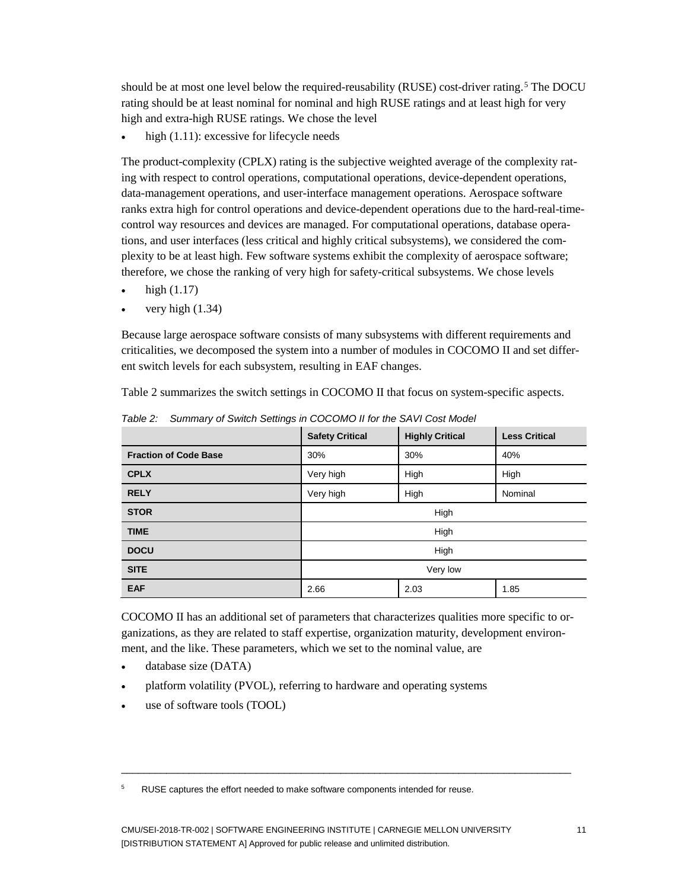should be at most one level below the required-reusability (RUSE) cost-driver rating.<sup>[5](#page-20-1)</sup> The DOCU rating should be at least nominal for nominal and high RUSE ratings and at least high for very high and extra-high RUSE ratings. We chose the level

 $\bullet$  high (1.11): excessive for lifecycle needs

The product-complexity (CPLX) rating is the subjective weighted average of the complexity rating with respect to control operations, computational operations, device-dependent operations, data-management operations, and user-interface management operations. Aerospace software ranks extra high for control operations and device-dependent operations due to the hard-real-timecontrol way resources and devices are managed. For computational operations, database operations, and user interfaces (less critical and highly critical subsystems), we considered the complexity to be at least high. Few software systems exhibit the complexity of aerospace software; therefore, we chose the ranking of very high for safety-critical subsystems. We chose levels

- $\bullet$  high  $(1.17)$
- very high  $(1.34)$

Because large aerospace software consists of many subsystems with different requirements and criticalities, we decomposed the system into a number of modules in COCOMO II and set different switch levels for each subsystem, resulting in EAF changes.

[Table 2](#page-20-0) summarizes the switch settings in COCOMO II that focus on system-specific aspects.

|                              | <b>Safety Critical</b> | <b>Less Critical</b> |         |  |  |
|------------------------------|------------------------|----------------------|---------|--|--|
| <b>Fraction of Code Base</b> | 30%<br>30%             |                      | 40%     |  |  |
| <b>CPLX</b>                  | Very high              | High                 | High    |  |  |
| <b>RELY</b>                  | Very high              | High                 | Nominal |  |  |
| <b>STOR</b>                  | High                   |                      |         |  |  |
| <b>TIME</b>                  |                        | High                 |         |  |  |
| <b>DOCU</b>                  | High                   |                      |         |  |  |
| <b>SITE</b>                  | Very low               |                      |         |  |  |
| <b>EAF</b>                   | 2.03<br>2.66<br>1.85   |                      |         |  |  |

<span id="page-20-0"></span>*Table 2: Summary of Switch Settings in COCOMO II for the SAVI Cost Model*

COCOMO II has an additional set of parameters that characterizes qualities more specific to organizations, as they are related to staff expertise, organization maturity, development environment, and the like. These parameters, which we set to the nominal value, are

\_\_\_\_\_\_\_\_\_\_\_\_\_\_\_\_\_\_\_\_\_\_\_\_\_\_\_\_\_\_\_\_\_\_\_\_\_\_\_\_\_\_\_\_\_\_\_\_\_\_\_\_\_\_\_\_\_\_\_\_\_\_\_\_\_\_\_\_\_\_\_\_\_\_\_\_\_\_\_\_

- database size (DATA)
- platform volatility (PVOL), referring to hardware and operating systems
- use of software tools (TOOL)

<span id="page-20-1"></span><sup>5</sup> RUSE captures the effort needed to make software components intended for reuse.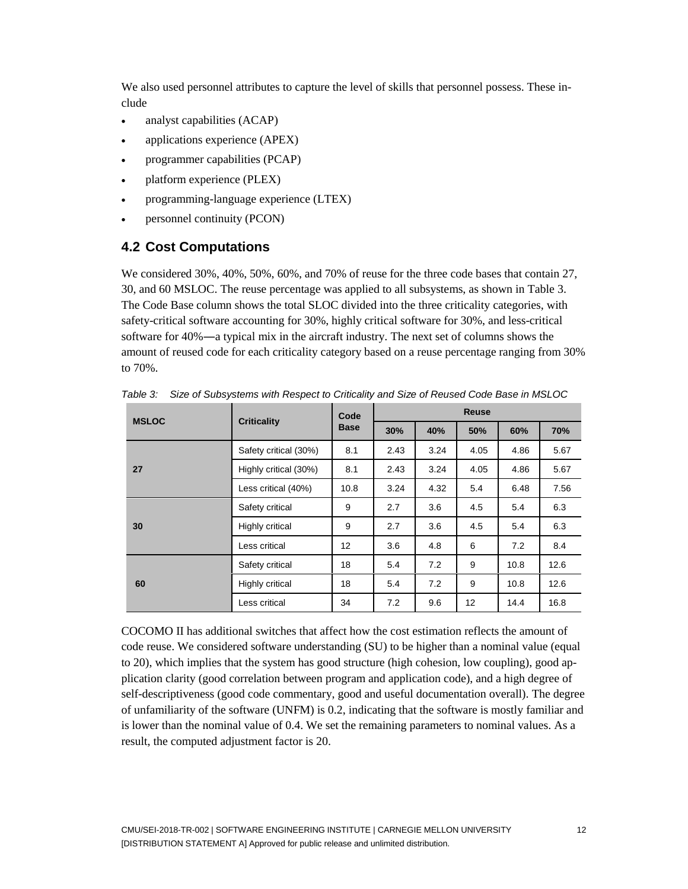We also used personnel attributes to capture the level of skills that personnel possess. These include

- analyst capabilities (ACAP)
- applications experience (APEX)
- programmer capabilities (PCAP)
- platform experience (PLEX)
- programming-language experience (LTEX)
- personnel continuity (PCON)

#### <span id="page-21-0"></span>**4.2 Cost Computations**

We considered 30%, 40%, 50%, 60%, and 70% of reuse for the three code bases that contain 27, 30, and 60 MSLOC. The reuse percentage was applied to all subsystems, as shown i[n Table 3.](#page-21-1) The Code Base column shows the total SLOC divided into the three criticality categories, with safety-critical software accounting for 30%, highly critical software for 30%, and less-critical software for 40%―a typical mix in the aircraft industry. The next set of columns shows the amount of reused code for each criticality category based on a reuse percentage ranging from 30% to 70%.

| <b>MSLOC</b> | <b>Criticality</b>    | Code        | <b>Reuse</b> |      |      |      |      |  |  |
|--------------|-----------------------|-------------|--------------|------|------|------|------|--|--|
|              |                       | <b>Base</b> | 30%          | 40%  | 50%  | 60%  | 70%  |  |  |
|              | Safety critical (30%) | 8.1         | 2.43         | 3.24 | 4.05 | 4.86 | 5.67 |  |  |
| 27           | Highly critical (30%) | 8.1         | 2.43         | 3.24 | 4.05 | 4.86 | 5.67 |  |  |
|              | Less critical (40%)   | 10.8        | 3.24         | 4.32 | 5.4  | 6.48 | 7.56 |  |  |
|              | Safety critical       | 9           | 2.7          | 3.6  | 4.5  | 5.4  | 6.3  |  |  |
| 30           | Highly critical       | 9           | 2.7          | 3.6  | 4.5  | 5.4  | 6.3  |  |  |
|              | Less critical         | 12          | 3.6          | 4.8  | 6    | 7.2  | 8.4  |  |  |
|              | Safety critical       | 18          | 5.4          | 7.2  | 9    | 10.8 | 12.6 |  |  |
| 60           | Highly critical       | 18          | 5.4          | 7.2  | 9    | 10.8 | 12.6 |  |  |
|              | Less critical         | 34          | 7.2          | 9.6  | 12   | 14.4 | 16.8 |  |  |

<span id="page-21-1"></span>*Table 3: Size of Subsystems with Respect to Criticality and Size of Reused Code Base in MSLOC*

COCOMO II has additional switches that affect how the cost estimation reflects the amount of code reuse. We considered software understanding (SU) to be higher than a nominal value (equal to 20), which implies that the system has good structure (high cohesion, low coupling), good application clarity (good correlation between program and application code), and a high degree of self-descriptiveness (good code commentary, good and useful documentation overall). The degree of unfamiliarity of the software (UNFM) is 0.2, indicating that the software is mostly familiar and is lower than the nominal value of 0.4. We set the remaining parameters to nominal values. As a result, the computed adjustment factor is 20.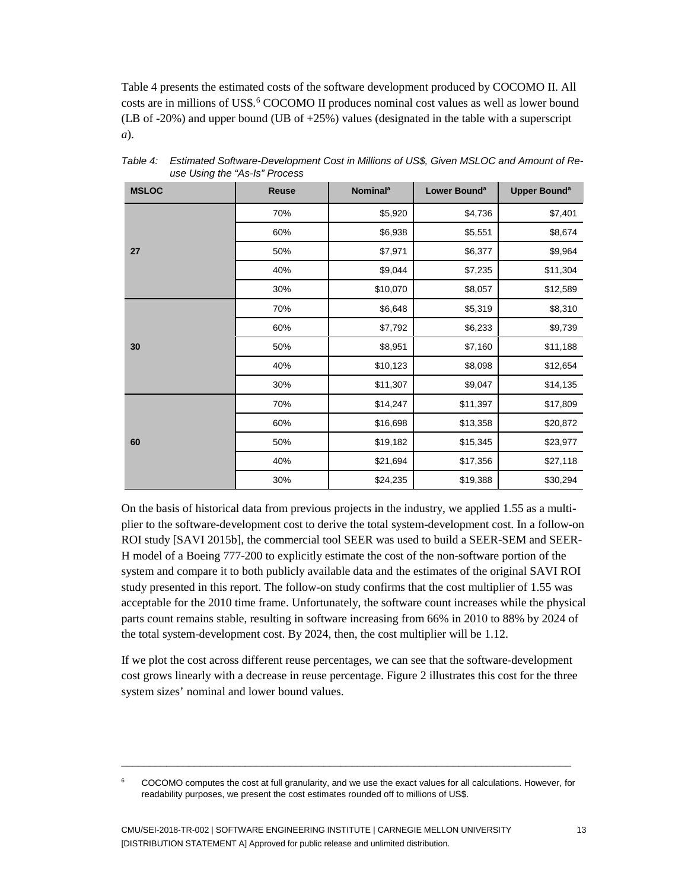[Table 4](#page-22-0) presents the estimated costs of the software development produced by COCOMO II. All costs are in millions of US\$.[6](#page-22-1) COCOMO II produces nominal cost values as well as lower bound (LB of -20%) and upper bound (UB of  $+25%$ ) values (designated in the table with a superscript *a*).

| <b>MSLOC</b> | <b>Reuse</b> | Nominal <sup>a</sup> | Lower Bound <sup>a</sup> | Upper Bound <sup>a</sup> |
|--------------|--------------|----------------------|--------------------------|--------------------------|
|              | 70%          | \$5,920              | \$4,736                  | \$7,401                  |
|              | 60%          | \$6,938              | \$5,551                  | \$8,674                  |
| 27           | 50%          | \$7,971              | \$6,377                  | \$9,964                  |
|              | 40%          | \$9,044              | \$7,235                  | \$11,304                 |
|              | 30%          | \$10,070             | \$8,057                  | \$12,589                 |
|              | 70%          | \$6,648              | \$5,319                  | \$8,310                  |
|              | 60%          | \$7,792              | \$6,233                  | \$9,739                  |
| 30           | 50%          | \$8,951              | \$7,160                  | \$11,188                 |
|              | 40%          | \$10,123             | \$8,098                  | \$12,654                 |
|              | 30%          | \$11,307             | \$9,047                  | \$14,135                 |
|              | 70%          | \$14,247             | \$11,397                 | \$17,809                 |
|              | 60%          | \$16,698             | \$13,358                 | \$20,872                 |
| 60           | 50%          | \$19,182             | \$15,345                 | \$23,977                 |
|              | 40%          | \$21,694             | \$17,356                 | \$27,118                 |
|              | 30%          | \$24,235             | \$19,388                 | \$30,294                 |

<span id="page-22-0"></span>*Table 4: Estimated Software-Development Cost in Millions of US\$, Given MSLOC and Amount of Reuse Using the "As-Is" Process*

On the basis of historical data from previous projects in the industry, we applied 1.55 as a multiplier to the software-development cost to derive the total system-development cost. In a follow-on ROI study [SAVI 2015b], the commercial tool SEER was used to build a SEER-SEM and SEER-H model of a Boeing 777-200 to explicitly estimate the cost of the non-software portion of the system and compare it to both publicly available data and the estimates of the original SAVI ROI study presented in this report. The follow-on study confirms that the cost multiplier of 1.55 was acceptable for the 2010 time frame. Unfortunately, the software count increases while the physical parts count remains stable, resulting in software increasing from 66% in 2010 to 88% by 2024 of the total system-development cost. By 2024, then, the cost multiplier will be 1.12.

If we plot the cost across different reuse percentages, we can see that the software-development cost grows linearly with a decrease in reuse percentage. [Figure 2](#page-23-0) illustrates this cost for the three system sizes' nominal and lower bound values.

\_\_\_\_\_\_\_\_\_\_\_\_\_\_\_\_\_\_\_\_\_\_\_\_\_\_\_\_\_\_\_\_\_\_\_\_\_\_\_\_\_\_\_\_\_\_\_\_\_\_\_\_\_\_\_\_\_\_\_\_\_\_\_\_\_\_\_\_\_\_\_\_\_\_\_\_\_\_\_\_

<span id="page-22-1"></span><sup>&</sup>lt;sup>6</sup> COCOMO computes the cost at full granularity, and we use the exact values for all calculations. However, for readability purposes, we present the cost estimates rounded off to millions of US\$.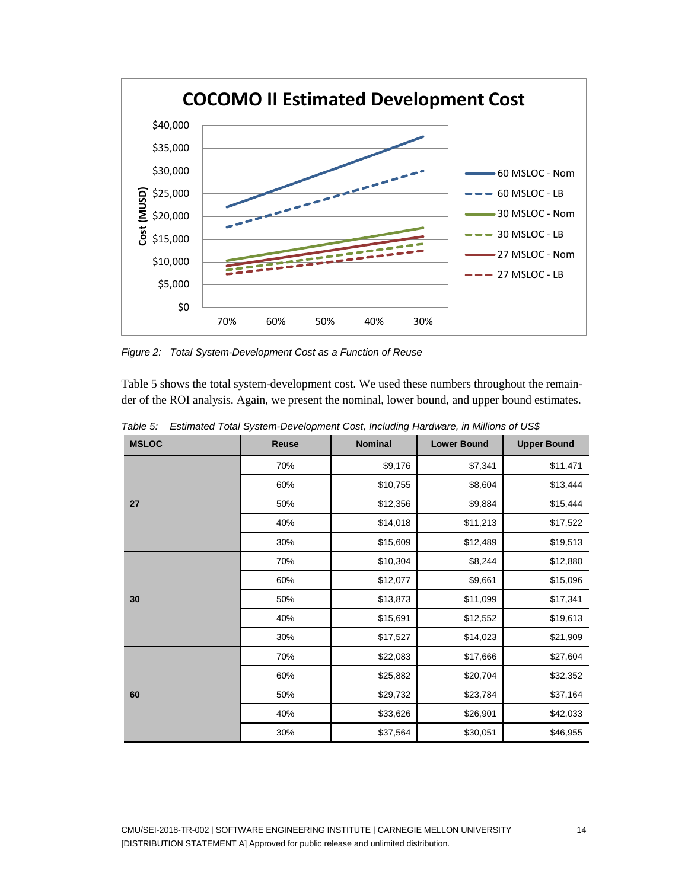

<span id="page-23-0"></span>*Figure 2: Total System-Development Cost as a Function of Reuse*

[Table 5](#page-23-1) shows the total system-development cost. We used these numbers throughout the remainder of the ROI analysis. Again, we present the nominal, lower bound, and upper bound estimates.

| <b>MSLOC</b> | <b>Reuse</b> | <b>Nominal</b> | <b>Lower Bound</b> | <b>Upper Bound</b> |
|--------------|--------------|----------------|--------------------|--------------------|
|              | 70%          | \$9,176        | \$7,341            | \$11,471           |
|              | 60%          | \$10,755       | \$8,604            | \$13,444           |
| 27           | 50%          | \$12,356       | \$9,884            | \$15,444           |
|              | 40%          | \$14,018       | \$11,213           | \$17,522           |
|              | 30%          | \$15,609       | \$12,489           | \$19,513           |
|              | 70%          | \$10,304       | \$8,244            | \$12,880           |
|              | 60%          | \$12,077       | \$9,661            | \$15,096           |
| 30           | 50%          | \$13,873       | \$11,099           | \$17,341           |
|              | 40%          | \$15,691       | \$12,552           | \$19,613           |
|              | 30%          | \$17,527       | \$14,023           | \$21,909           |
|              | 70%          | \$22,083       | \$17,666           | \$27,604           |
|              | 60%          | \$25,882       | \$20,704           | \$32,352           |
| 60           | 50%          | \$29,732       | \$23,784           | \$37,164           |
|              | 40%          | \$33,626       | \$26,901           | \$42,033           |
|              | 30%          | \$37,564       | \$30,051           | \$46,955           |

<span id="page-23-1"></span>*Table 5: Estimated Total System-Development Cost, Including Hardware, in Millions of US\$*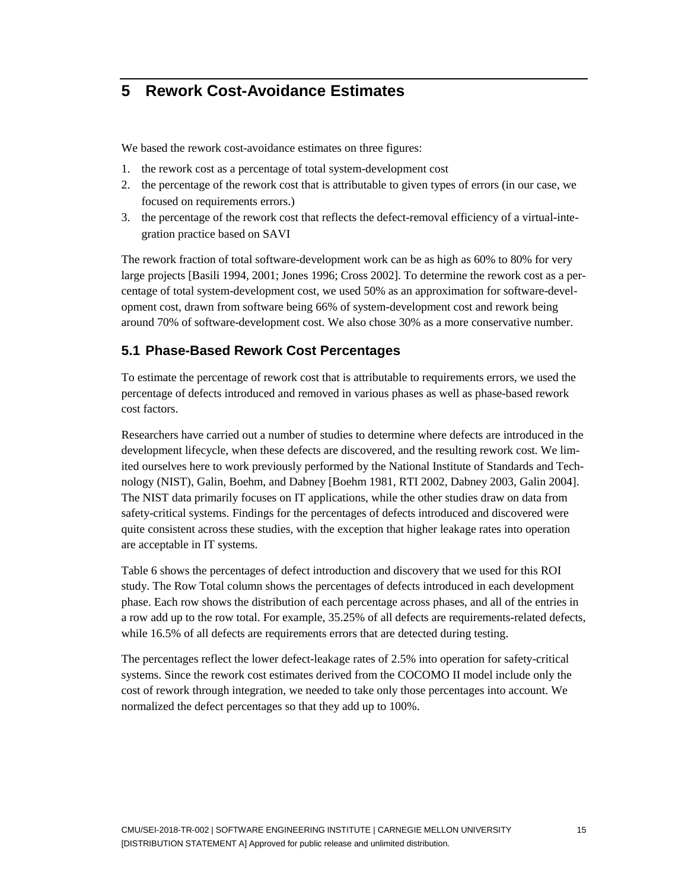# <span id="page-24-0"></span>**5 Rework Cost-Avoidance Estimates**

We based the rework cost-avoidance estimates on three figures:

- 1. the rework cost as a percentage of total system-development cost
- 2. the percentage of the rework cost that is attributable to given types of errors (in our case, we focused on requirements errors.)
- 3. the percentage of the rework cost that reflects the defect-removal efficiency of a virtual-integration practice based on SAVI

The rework fraction of total software-development work can be as high as 60% to 80% for very large projects [Basili 1994, 2001; Jones 1996; Cross 2002]. To determine the rework cost as a percentage of total system-development cost, we used 50% as an approximation for software-development cost, drawn from software being 66% of system-development cost and rework being around 70% of software-development cost. We also chose 30% as a more conservative number.

#### <span id="page-24-1"></span>**5.1 Phase-Based Rework Cost Percentages**

To estimate the percentage of rework cost that is attributable to requirements errors, we used the percentage of defects introduced and removed in various phases as well as phase-based rework cost factors.

Researchers have carried out a number of studies to determine where defects are introduced in the development lifecycle, when these defects are discovered, and the resulting rework cost. We limited ourselves here to work previously performed by the National Institute of Standards and Technology (NIST), Galin, Boehm, and Dabney [Boehm 1981, RTI 2002, Dabney 2003, Galin 2004]. The NIST data primarily focuses on IT applications, while the other studies draw on data from safety-critical systems. Findings for the percentages of defects introduced and discovered were quite consistent across these studies, with the exception that higher leakage rates into operation are acceptable in IT systems.

[Table 6](#page-25-0) shows the percentages of defect introduction and discovery that we used for this ROI study. The Row Total column shows the percentages of defects introduced in each development phase. Each row shows the distribution of each percentage across phases, and all of the entries in a row add up to the row total. For example, 35.25% of all defects are requirements-related defects, while 16.5% of all defects are requirements errors that are detected during testing.

The percentages reflect the lower defect-leakage rates of 2.5% into operation for safety-critical systems. Since the rework cost estimates derived from the COCOMO II model include only the cost of rework through integration, we needed to take only those percentages into account. We normalized the defect percentages so that they add up to 100%.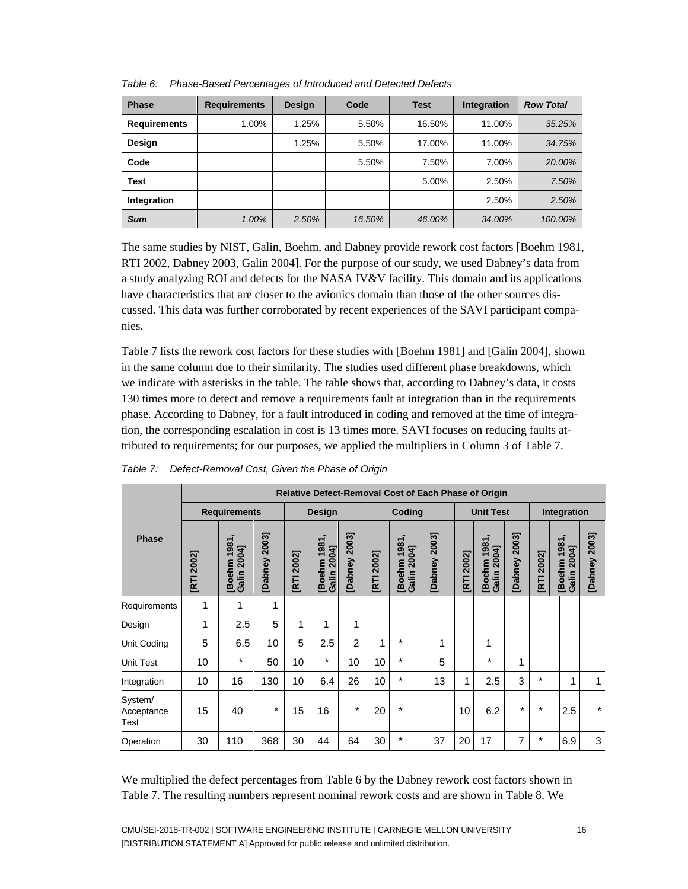| <b>Phase</b>        | <b>Requirements</b> | <b>Design</b> | Code   | <b>Test</b> | Integration | <b>Row Total</b> |
|---------------------|---------------------|---------------|--------|-------------|-------------|------------------|
| <b>Requirements</b> | 1.00%               | 1.25%         | 5.50%  | 16.50%      | 11.00%      | 35.25%           |
| <b>Design</b>       |                     | 1.25%         | 5.50%  | 17.00%      | 11.00%      | 34.75%           |
| Code                |                     |               | 5.50%  | 7.50%       | 7.00%       | 20.00%           |
| <b>Test</b>         |                     |               |        | 5.00%       | 2.50%       | 7.50%            |
| Integration         |                     |               |        |             | 2.50%       | 2.50%            |
| <b>Sum</b>          | 1.00%               | 2.50%         | 16.50% | 46.00%      | 34.00%      | 100.00%          |

<span id="page-25-0"></span>*Table 6: Phase-Based Percentages of Introduced and Detected Defects* 

The same studies by NIST, Galin, Boehm, and Dabney provide rework cost factors [Boehm 1981, RTI 2002, Dabney 2003, Galin 2004]. For the purpose of our study, we used Dabney's data from a study analyzing ROI and defects for the NASA IV&V facility. This domain and its applications have characteristics that are closer to the avionics domain than those of the other sources discussed. This data was further corroborated by recent experiences of the SAVI participant companies.

[Table 7](#page-25-1) lists the rework cost factors for these studies with [Boehm 1981] and [Galin 2004], shown in the same column due to their similarity. The studies used different phase breakdowns, which we indicate with asterisks in the table. The table shows that, according to Dabney's data, it costs 130 times more to detect and remove a requirements fault at integration than in the requirements phase. According to Dabney, for a fault introduced in coding and removed at the time of integration, the corresponding escalation in cost is 13 times more. SAVI focuses on reducing faults attributed to requirements; for our purposes, we applied the multipliers in Column 3 of Table 7.

|                               | Relative Defect-Removal Cost of Each Phase of Origin |                                    |               |               |                                   |                |            |                                        |                  |            |                                                               |                  |            |                             |               |
|-------------------------------|------------------------------------------------------|------------------------------------|---------------|---------------|-----------------------------------|----------------|------------|----------------------------------------|------------------|------------|---------------------------------------------------------------|------------------|------------|-----------------------------|---------------|
|                               |                                                      | <b>Requirements</b>                |               | Design        |                                   | Coding         |            |                                        | <b>Unit Test</b> |            |                                                               | Integration      |            |                             |               |
| <b>Phase</b>                  | [RTI 2002]                                           | 1981,<br>[Boehm 198<br>Galin 2004] | [Dabney 2003] | 2002]<br>[RT] | 1981<br>[Boehm 198<br>Galin 2004] | [Dabney 2003]  | [RTI 2002] | 981<br>2004]<br>᠆<br>Boehm<br>Galin 20 | [Dabney 2003]    | [RTI 2002] | 981<br>2004]<br>$\overline{\phantom{0}}$<br>Boehm<br>Galin 20 | 2003]<br>[Dabney | [RTI 2002] | [Boehm 1981,<br>Galin 2004] | [Dabney 2003] |
| Requirements                  | 1                                                    | 1                                  | 1             |               |                                   |                |            |                                        |                  |            |                                                               |                  |            |                             |               |
| Design                        | 1                                                    | 2.5                                | 5             | 1             | 1                                 | 1              |            |                                        |                  |            |                                                               |                  |            |                             |               |
| Unit Coding                   | 5                                                    | 6.5                                | 10            | 5             | 2.5                               | $\overline{2}$ | 1          | $\ast$                                 | 1                |            | 1                                                             |                  |            |                             |               |
| Unit Test                     | 10                                                   | *                                  | 50            | 10            | $\star$                           | 10             | 10         | $\ast$                                 | 5                |            | $\star$                                                       | 1                |            |                             |               |
| Integration                   | 10                                                   | 16                                 | 130           | 10            | 6.4                               | 26             | 10         | $\star$                                | 13               | 1          | 2.5                                                           | 3                | $\star$    | 1                           | 1             |
| System/<br>Acceptance<br>Test | 15                                                   | 40                                 | $\star$       | 15            | 16                                | $\star$        | 20         | $\star$                                |                  | 10         | 6.2                                                           | $\star$          | $\star$    | 2.5                         | $\star$       |
| Operation                     | 30                                                   | 110                                | 368           | 30            | 44                                | 64             | 30         | *                                      | 37               | 20         | 17                                                            | 7                | $\star$    | 6.9                         | 3             |

<span id="page-25-1"></span>*Table 7: Defect-Removal Cost, Given the Phase of Origin*

We multiplied the defect percentages from [Table 6](#page-25-0) by the Dabney rework cost factors shown in [Table 7.](#page-25-1) The resulting numbers represent nominal rework costs and are shown in [Table 8.](#page-26-1) We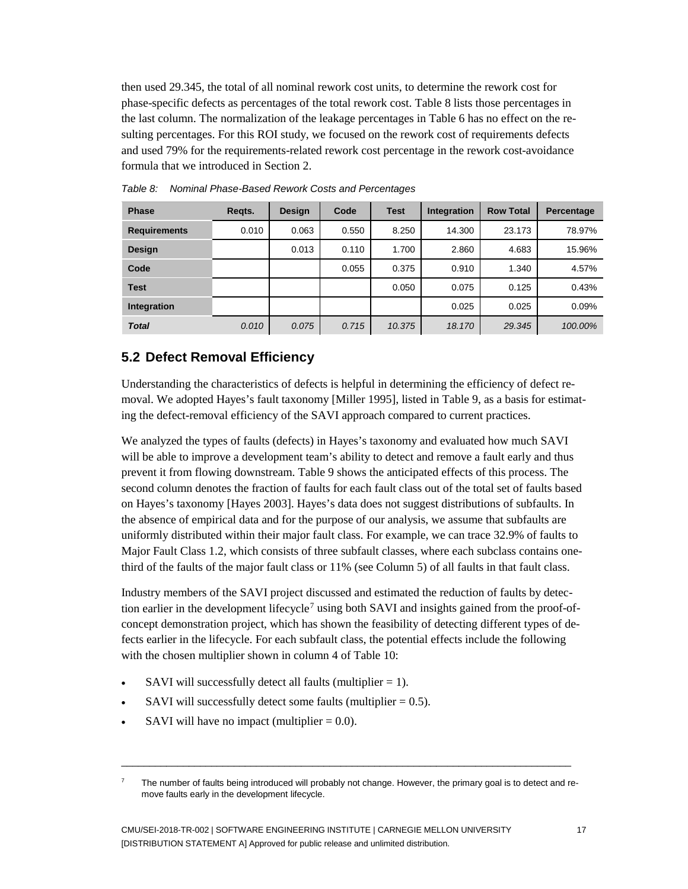then used 29.345, the total of all nominal rework cost units, to determine the rework cost for phase-specific defects as percentages of the total rework cost. Table 8 lists those percentages in the last column. The normalization of the leakage percentages in [Table 6](#page-25-0) has no effect on the resulting percentages. For this ROI study, we focused on the rework cost of requirements defects and used 79% for the requirements-related rework cost percentage in the rework cost-avoidance formula that we introduced in Section [2.](#page-13-0)

| <b>Phase</b>        | Regts. | <b>Design</b> | Code  | <b>Test</b> | <b>Integration</b> | <b>Row Total</b> | Percentage |
|---------------------|--------|---------------|-------|-------------|--------------------|------------------|------------|
| <b>Requirements</b> | 0.010  | 0.063         | 0.550 | 8.250       | 14.300             | 23.173           | 78.97%     |
| <b>Design</b>       |        | 0.013         | 0.110 | 1.700       | 2.860              | 4.683            | 15.96%     |
| Code                |        |               | 0.055 | 0.375       | 0.910              | 1.340            | 4.57%      |
| <b>Test</b>         |        |               |       | 0.050       | 0.075              | 0.125            | 0.43%      |
| Integration         |        |               |       |             | 0.025              | 0.025            | 0.09%      |
| <b>Total</b>        | 0.010  | 0.075         | 0.715 | 10.375      | 18.170             | 29.345           | 100.00%    |

<span id="page-26-1"></span>*Table 8: Nominal Phase-Based Rework Costs and Percentages*

### <span id="page-26-0"></span>**5.2 Defect Removal Efficiency**

Understanding the characteristics of defects is helpful in determining the efficiency of defect removal. We adopted Hayes's fault taxonomy [Miller 1995], listed in [Table 9,](#page-27-0) as a basis for estimating the defect-removal efficiency of the SAVI approach compared to current practices.

We analyzed the types of faults (defects) in Hayes's taxonomy and evaluated how much SAVI will be able to improve a development team's ability to detect and remove a fault early and thus prevent it from flowing downstream. [Table 9](#page-27-0) shows the anticipated effects of this process. The second column denotes the fraction of faults for each fault class out of the total set of faults based on Hayes's taxonomy [Hayes 2003]. Hayes's data does not suggest distributions of subfaults. In the absence of empirical data and for the purpose of our analysis, we assume that subfaults are uniformly distributed within their major fault class. For example, we can trace 32.9% of faults to Major Fault Class 1.2, which consists of three subfault classes, where each subclass contains onethird of the faults of the major fault class or 11% (see Column 5) of all faults in that fault class.

Industry members of the SAVI project discussed and estimated the reduction of faults by detec-tion earlier in the development lifecycle<sup>[7](#page-26-2)</sup> using both SAVI and insights gained from the proof-ofconcept demonstration project, which has shown the feasibility of detecting different types of defects earlier in the lifecycle. For each subfault class, the potential effects include the following with the chosen multiplier shown in column 4 of [Table 10:](#page-28-1)

- SAVI will successfully detect all faults (multiplier  $= 1$ ).
- SAVI will successfully detect some faults (multiplier  $= 0.5$ ).
- SAVI will have no impact (multiplier  $= 0.0$ ).

\_\_\_\_\_\_\_\_\_\_\_\_\_\_\_\_\_\_\_\_\_\_\_\_\_\_\_\_\_\_\_\_\_\_\_\_\_\_\_\_\_\_\_\_\_\_\_\_\_\_\_\_\_\_\_\_\_\_\_\_\_\_\_\_\_\_\_\_\_\_\_\_\_\_\_\_\_\_\_\_

<span id="page-26-2"></span>The number of faults being introduced will probably not change. However, the primary goal is to detect and remove faults early in the development lifecycle.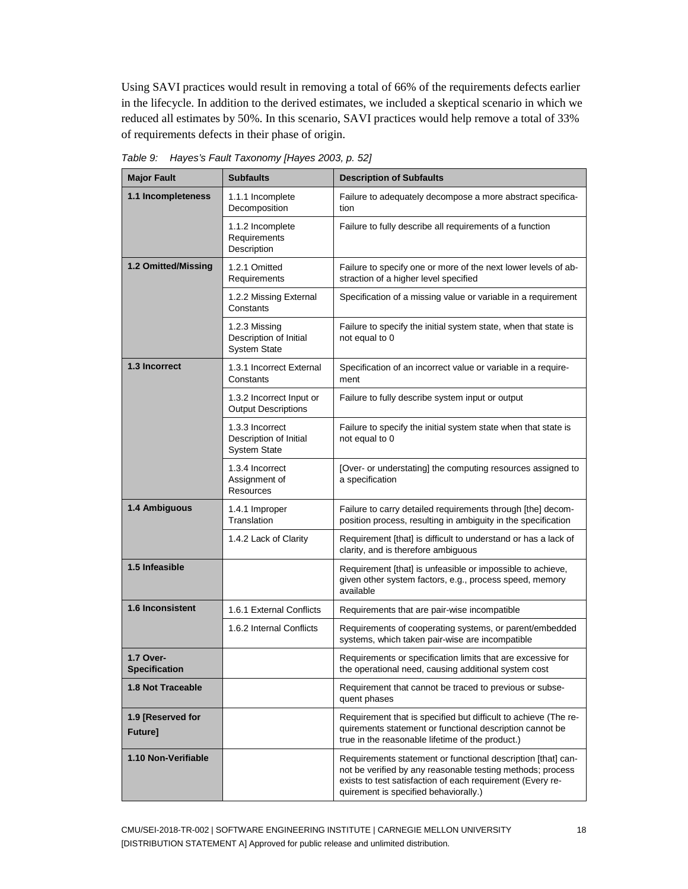Using SAVI practices would result in removing a total of 66% of the requirements defects earlier in the lifecycle. In addition to the derived estimates, we included a skeptical scenario in which we reduced all estimates by 50%. In this scenario, SAVI practices would help remove a total of 33% of requirements defects in their phase of origin.

| <b>Major Fault</b>                   | <b>Subfaults</b>                                                 | <b>Description of Subfaults</b>                                                                                                                                                                                                   |
|--------------------------------------|------------------------------------------------------------------|-----------------------------------------------------------------------------------------------------------------------------------------------------------------------------------------------------------------------------------|
| 1.1 Incompleteness                   | 1.1.1 Incomplete<br>Decomposition                                | Failure to adequately decompose a more abstract specifica-<br>tion                                                                                                                                                                |
|                                      | 1.1.2 Incomplete<br>Requirements<br>Description                  | Failure to fully describe all requirements of a function                                                                                                                                                                          |
| 1.2 Omitted/Missing                  | 1.2.1 Omitted<br>Requirements                                    | Failure to specify one or more of the next lower levels of ab-<br>straction of a higher level specified                                                                                                                           |
|                                      | 1.2.2 Missing External<br>Constants                              | Specification of a missing value or variable in a requirement                                                                                                                                                                     |
|                                      | 1.2.3 Missing<br>Description of Initial<br><b>System State</b>   | Failure to specify the initial system state, when that state is<br>not equal to 0                                                                                                                                                 |
| 1.3 Incorrect                        | 1.3.1 Incorrect External<br>Constants                            | Specification of an incorrect value or variable in a require-<br>ment                                                                                                                                                             |
|                                      | 1.3.2 Incorrect Input or<br><b>Output Descriptions</b>           | Failure to fully describe system input or output                                                                                                                                                                                  |
|                                      | 1.3.3 Incorrect<br>Description of Initial<br><b>System State</b> | Failure to specify the initial system state when that state is<br>not equal to 0                                                                                                                                                  |
|                                      | 1.3.4 Incorrect<br>Assignment of<br>Resources                    | [Over- or understating] the computing resources assigned to<br>a specification                                                                                                                                                    |
| 1.4 Ambiguous                        | 1.4.1 Improper<br>Translation                                    | Failure to carry detailed requirements through [the] decom-<br>position process, resulting in ambiguity in the specification                                                                                                      |
|                                      | 1.4.2 Lack of Clarity                                            | Requirement [that] is difficult to understand or has a lack of<br>clarity, and is therefore ambiguous                                                                                                                             |
| 1.5 Infeasible                       |                                                                  | Requirement [that] is unfeasible or impossible to achieve,<br>given other system factors, e.g., process speed, memory<br>available                                                                                                |
| 1.6 Inconsistent                     | 1.6.1 External Conflicts                                         | Requirements that are pair-wise incompatible                                                                                                                                                                                      |
|                                      | 1.6.2 Internal Conflicts                                         | Requirements of cooperating systems, or parent/embedded<br>systems, which taken pair-wise are incompatible                                                                                                                        |
| 1.7 Over-<br><b>Specification</b>    |                                                                  | Requirements or specification limits that are excessive for<br>the operational need, causing additional system cost                                                                                                               |
| <b>1.8 Not Traceable</b>             |                                                                  | Requirement that cannot be traced to previous or subse-<br>quent phases                                                                                                                                                           |
| 1.9 [Reserved for<br><b>Future</b> ] |                                                                  | Requirement that is specified but difficult to achieve (The re-<br>quirements statement or functional description cannot be<br>true in the reasonable lifetime of the product.)                                                   |
| 1.10 Non-Verifiable                  |                                                                  | Requirements statement or functional description [that] can-<br>not be verified by any reasonable testing methods; process<br>exists to test satisfaction of each requirement (Every re-<br>quirement is specified behaviorally.) |

<span id="page-27-0"></span>*Table 9: Hayes's Fault Taxonomy [Hayes 2003, p. 52]*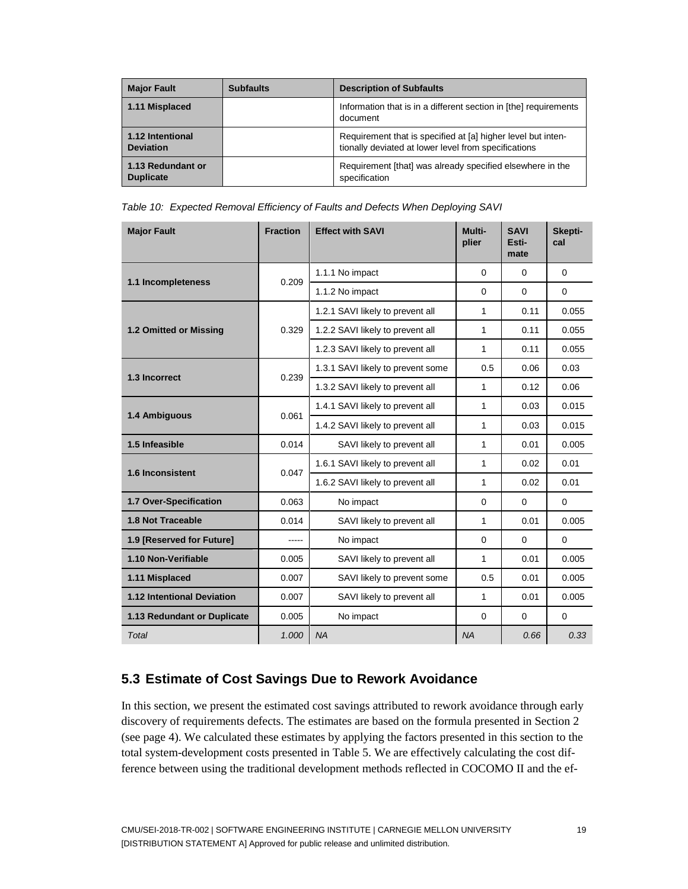| <b>Major Fault</b>                    | <b>Subfaults</b> | <b>Description of Subfaults</b>                                                                                      |
|---------------------------------------|------------------|----------------------------------------------------------------------------------------------------------------------|
| 1.11 Misplaced                        |                  | Information that is in a different section in [the] requirements<br>document                                         |
| 1.12 Intentional<br><b>Deviation</b>  |                  | Requirement that is specified at [a] higher level but inten-<br>tionally deviated at lower level from specifications |
| 1.13 Redundant or<br><b>Duplicate</b> |                  | Requirement [that] was already specified elsewhere in the<br>specification                                           |

<span id="page-28-1"></span>

|  | Table 10: Expected Removal Efficiency of Faults and Defects When Deploying SAVI |  |  |  |  |
|--|---------------------------------------------------------------------------------|--|--|--|--|
|--|---------------------------------------------------------------------------------|--|--|--|--|

| <b>Major Fault</b>                | <b>Fraction</b> | <b>Effect with SAVI</b>           | Multi-<br>plier | <b>SAVI</b><br>Esti-<br>mate | Skepti-<br>cal |
|-----------------------------------|-----------------|-----------------------------------|-----------------|------------------------------|----------------|
| 1.1 Incompleteness                | 0.209           | 1.1.1 No impact                   | $\Omega$        | $\Omega$                     | 0              |
|                                   |                 | 1.1.2 No impact                   | $\Omega$        | $\Omega$                     | $\Omega$       |
|                                   |                 | 1.2.1 SAVI likely to prevent all  | 1               | 0.11                         | 0.055          |
| 1.2 Omitted or Missing            | 0.329           | 1.2.2 SAVI likely to prevent all  | 1               | 0.11                         | 0.055          |
|                                   |                 | 1.2.3 SAVI likely to prevent all  | 1               | 0.11                         | 0.055          |
|                                   |                 | 1.3.1 SAVI likely to prevent some | 0.5             | 0.06                         | 0.03           |
| 1.3 Incorrect                     | 0.239           | 1.3.2 SAVI likely to prevent all  | 1               | 0.12                         | 0.06           |
|                                   |                 | 1.4.1 SAVI likely to prevent all  | 1               | 0.03                         | 0.015          |
| 1.4 Ambiguous                     | 0.061           | 1.4.2 SAVI likely to prevent all  | 1               | 0.03                         | 0.015          |
| 1.5 Infeasible                    | 0.014           | SAVI likely to prevent all        | 1               | 0.01                         | 0.005          |
| 1.6 Inconsistent                  |                 | 1.6.1 SAVI likely to prevent all  | 1               | 0.02                         | 0.01           |
|                                   | 0.047           | 1.6.2 SAVI likely to prevent all  | 1               | 0.02                         | 0.01           |
| 1.7 Over-Specification            | 0.063           | No impact                         | $\Omega$        | $\Omega$                     | $\mathbf 0$    |
| 1.8 Not Traceable                 | 0.014           | SAVI likely to prevent all        | 1               | 0.01                         | 0.005          |
| 1.9 [Reserved for Future]         | $\frac{1}{2}$   | No impact                         | $\Omega$        | $\Omega$                     | $\mathbf 0$    |
| 1.10 Non-Verifiable               | 0.005           | SAVI likely to prevent all        | 1               | 0.01                         | 0.005          |
| 1.11 Misplaced                    | 0.007           | SAVI likely to prevent some       | 0.5             | 0.01                         | 0.005          |
| <b>1.12 Intentional Deviation</b> | 0.007           | SAVI likely to prevent all        | 1               | 0.01                         | 0.005          |
| 1.13 Redundant or Duplicate       | 0.005           | No impact                         | $\Omega$        | $\mathbf 0$                  | 0              |
| Total                             | 1.000           | <b>NA</b>                         | <b>NA</b>       | 0.66                         | 0.33           |

### <span id="page-28-0"></span>**5.3 Estimate of Cost Savings Due to Rework Avoidance**

In this section, we present the estimated cost savings attributed to rework avoidance through early discovery of requirements defects. The estimates are based on the formula presented in Section [2](#page-13-0) (see page [4\)](#page-13-3). We calculated these estimates by applying the factors presented in this section to the total system-development costs presented in [Table 5.](#page-23-1) We are effectively calculating the cost difference between using the traditional development methods reflected in COCOMO II and the ef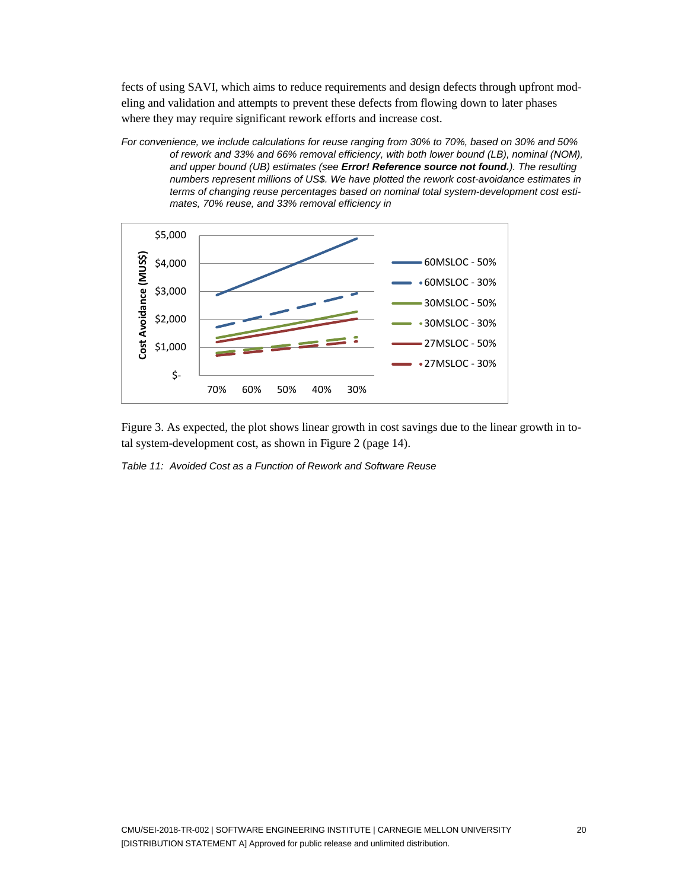fects of using SAVI, which aims to reduce requirements and design defects through upfront modeling and validation and attempts to prevent these defects from flowing down to later phases where they may require significant rework efforts and increase cost.

*For convenience, we include calculations for reuse ranging from 30% to 70%, based on 30% and 50% of rework and 33% and 66% removal efficiency, with both lower bound (LB), nominal (NOM), and upper bound (UB) estimates (see Error! Reference source not found.). The resulting numbers represent millions of US\$. We have plotted the rework cost-avoidance estimates in terms of changing reuse percentages based on nominal total system-development cost estimates, 70% reuse, and 33% removal efficiency in*



[Figure 3.](#page-31-0) As expected, the plot shows linear growth in cost savings due to the linear growth in total system-development cost, as shown in [Figure 2](#page-23-0) (page [14\)](#page-23-0).

<span id="page-29-0"></span>*Table 11: Avoided Cost as a Function of Rework and Software Reuse*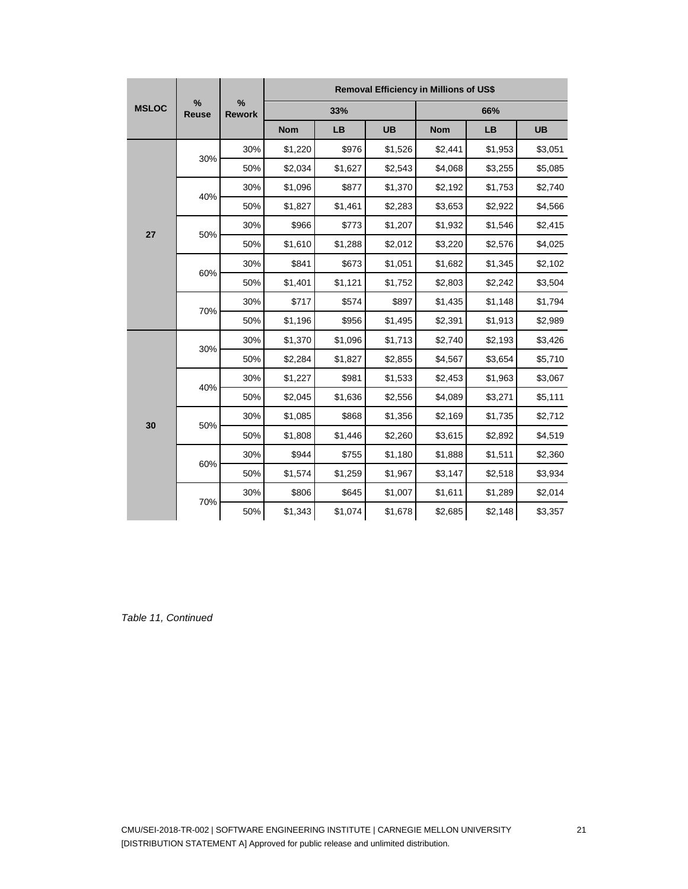|              |                   |                    | <b>Removal Efficiency in Millions of US\$</b> |           |           |            |         |           |  |  |  |  |
|--------------|-------------------|--------------------|-----------------------------------------------|-----------|-----------|------------|---------|-----------|--|--|--|--|
| <b>MSLOC</b> | %<br><b>Reuse</b> | %<br><b>Rework</b> |                                               | 33%       |           | 66%        |         |           |  |  |  |  |
|              |                   |                    | <b>Nom</b>                                    | <b>LB</b> | <b>UB</b> | <b>Nom</b> | LB      | <b>UB</b> |  |  |  |  |
|              | 30%               | 30%                | \$1,220                                       | \$976     | \$1,526   | \$2,441    | \$1,953 | \$3,051   |  |  |  |  |
|              |                   | 50%                | \$2,034                                       | \$1,627   | \$2,543   | \$4,068    | \$3,255 | \$5,085   |  |  |  |  |
|              | 40%               | 30%                | \$1,096                                       | \$877     | \$1,370   | \$2,192    | \$1,753 | \$2,740   |  |  |  |  |
|              |                   | 50%                | \$1,827                                       | \$1,461   | \$2,283   | \$3,653    | \$2,922 | \$4,566   |  |  |  |  |
| 27           |                   | 30%                | \$966                                         | \$773     | \$1,207   | \$1,932    | \$1,546 | \$2,415   |  |  |  |  |
|              | 50%               | 50%                | \$1,610                                       | \$1,288   | \$2,012   | \$3,220    | \$2,576 | \$4,025   |  |  |  |  |
|              | 60%               | 30%                | \$841                                         | \$673     | \$1,051   | \$1,682    | \$1,345 | \$2,102   |  |  |  |  |
|              |                   | 50%                | \$1,401                                       | \$1,121   | \$1,752   | \$2,803    | \$2,242 | \$3,504   |  |  |  |  |
|              | 70%               | 30%                | \$717                                         | \$574     | \$897     | \$1,435    | \$1,148 | \$1,794   |  |  |  |  |
|              |                   | 50%                | \$1,196                                       | \$956     | \$1,495   | \$2,391    | \$1,913 | \$2,989   |  |  |  |  |
|              | 30%               | 30%                | \$1,370                                       | \$1,096   | \$1,713   | \$2,740    | \$2,193 | \$3,426   |  |  |  |  |
|              |                   | 50%                | \$2,284                                       | \$1,827   | \$2,855   | \$4,567    | \$3,654 | \$5,710   |  |  |  |  |
|              | 40%               | 30%                | \$1,227                                       | \$981     | \$1,533   | \$2,453    | \$1,963 | \$3,067   |  |  |  |  |
|              |                   | 50%                | \$2,045                                       | \$1,636   | \$2,556   | \$4,089    | \$3,271 | \$5,111   |  |  |  |  |
| 30           | 50%               | 30%                | \$1,085                                       | \$868     | \$1,356   | \$2,169    | \$1,735 | \$2,712   |  |  |  |  |
|              |                   | 50%                | \$1,808                                       | \$1,446   | \$2,260   | \$3,615    | \$2,892 | \$4,519   |  |  |  |  |
|              | 60%               | 30%                | \$944                                         | \$755     | \$1,180   | \$1,888    | \$1,511 | \$2,360   |  |  |  |  |
|              |                   | 50%                | \$1,574                                       | \$1,259   | \$1,967   | \$3,147    | \$2,518 | \$3,934   |  |  |  |  |
|              |                   | 30%                | \$806                                         | \$645     | \$1,007   | \$1,611    | \$1,289 | \$2,014   |  |  |  |  |
|              | 70%               | 50%                | \$1,343                                       | \$1,074   | \$1,678   | \$2,685    | \$2,148 | \$3,357   |  |  |  |  |

*Table 11, Continued*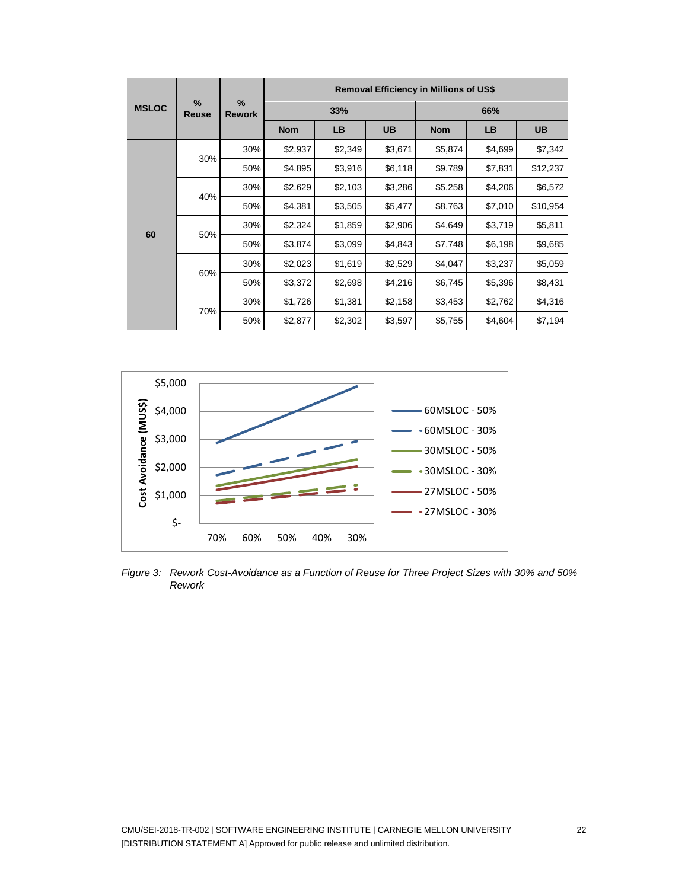|              |                      |                    | <b>Removal Efficiency in Millions of US\$</b> |         |           |            |         |           |  |  |  |  |
|--------------|----------------------|--------------------|-----------------------------------------------|---------|-----------|------------|---------|-----------|--|--|--|--|
| <b>MSLOC</b> | $\%$<br><b>Reuse</b> | %<br><b>Rework</b> |                                               | 33%     |           | 66%        |         |           |  |  |  |  |
|              |                      |                    | <b>LB</b><br><b>Nom</b>                       |         | <b>UB</b> | <b>Nom</b> | LB      | <b>UB</b> |  |  |  |  |
|              | 30%                  | 30%                | \$2,937                                       | \$2,349 | \$3,671   | \$5,874    | \$4,699 | \$7,342   |  |  |  |  |
|              |                      | 50%                | \$4,895                                       | \$3,916 | \$6,118   | \$9,789    | \$7,831 | \$12,237  |  |  |  |  |
|              | 40%                  | 30%                | \$2,629                                       | \$2,103 | \$3,286   | \$5,258    | \$4,206 | \$6,572   |  |  |  |  |
|              |                      | 50%                | \$4,381                                       | \$3,505 | \$5,477   | \$8,763    | \$7,010 | \$10,954  |  |  |  |  |
| 60           | 50%                  | 30%                | \$2,324                                       | \$1,859 | \$2,906   | \$4,649    | \$3,719 | \$5,811   |  |  |  |  |
|              |                      | 50%                | \$3,874                                       | \$3,099 | \$4,843   | \$7,748    | \$6,198 | \$9,685   |  |  |  |  |
|              | 60%                  | 30%                | \$2,023                                       | \$1,619 | \$2,529   | \$4,047    | \$3,237 | \$5,059   |  |  |  |  |
|              |                      | 50%                | \$3,372                                       | \$2,698 | \$4,216   | \$6,745    | \$5,396 | \$8,431   |  |  |  |  |
|              |                      | 30%                | \$1,726                                       | \$1,381 | \$2,158   | \$3,453    | \$2,762 | \$4,316   |  |  |  |  |
|              | 70%                  | 50%                | \$2,877                                       | \$2,302 | \$3,597   | \$5,755    | \$4,604 | \$7,194   |  |  |  |  |

<span id="page-31-0"></span>

*Figure 3: Rework Cost-Avoidance as a Function of Reuse for Three Project Sizes with 30% and 50% Rework*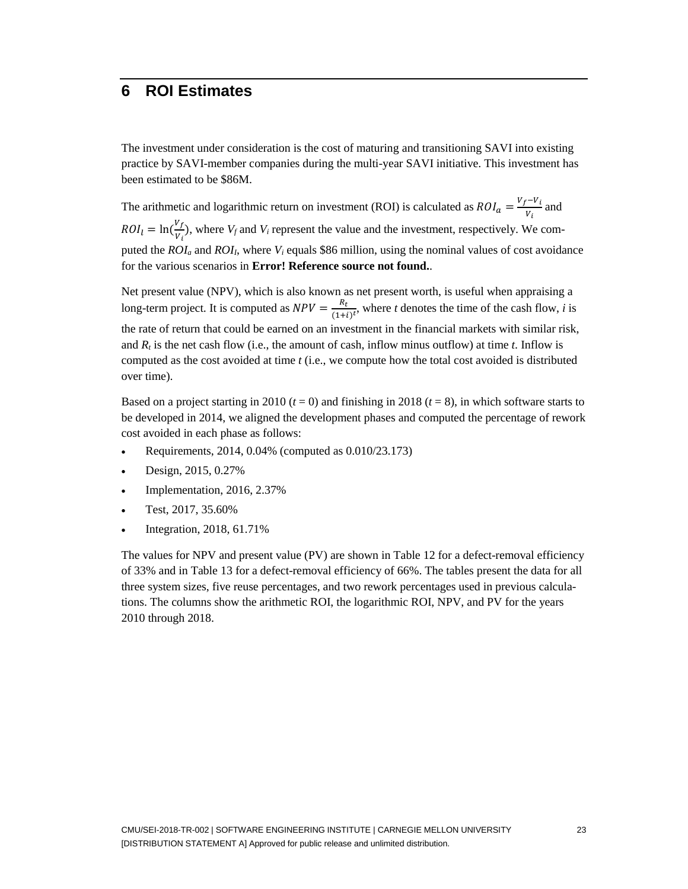### <span id="page-32-0"></span>**6 ROI Estimates**

The investment under consideration is the cost of maturing and transitioning SAVI into existing practice by SAVI-member companies during the multi-year SAVI initiative. This investment has been estimated to be \$86M.

The arithmetic and logarithmic return on investment (ROI) is calculated as  $ROI_a = \frac{V_f - V_i}{V_i}$  and  $ROI_l = \ln(\frac{V_f}{V_i})$  $\frac{V}{V_i}$ ), where  $V_f$  and  $V_i$  represent the value and the investment, respectively. We computed the  $ROI_a$  and  $ROI_I$ , where  $V_i$  equals \$86 million, using the nominal values of cost avoidance for the various scenarios in **Error! Reference source not found.**.

Net present value (NPV), which is also known as net present worth, is useful when appraising a long-term project. It is computed as  $NPV = \frac{R_t}{(1+i)^t}$ , where *t* denotes the time of the cash flow, *i* is the rate of return that could be earned on an investment in the financial markets with similar risk, and  $R_t$  is the net cash flow (i.e., the amount of cash, inflow minus outflow) at time *t*. Inflow is computed as the cost avoided at time *t* (i.e., we compute how the total cost avoided is distributed over time).

Based on a project starting in 2010 ( $t = 0$ ) and finishing in 2018 ( $t = 8$ ), in which software starts to be developed in 2014, we aligned the development phases and computed the percentage of rework cost avoided in each phase as follows:

- Requirements,  $2014, 0.04\%$  (computed as  $0.010/23.173$ )
- Design, 2015, 0.27%
- Implementation, 2016, 2.37%
- Test, 2017, 35.60%
- Integration, 2018, 61.71%

The values for NPV and present value (PV) are shown in [Table 12](#page-33-0) for a defect-removal efficiency of 33% and in [Table 13](#page-34-0) for a defect-removal efficiency of 66%. The tables present the data for all three system sizes, five reuse percentages, and two rework percentages used in previous calculations. The columns show the arithmetic ROI, the logarithmic ROI, NPV, and PV for the years 2010 through 2018.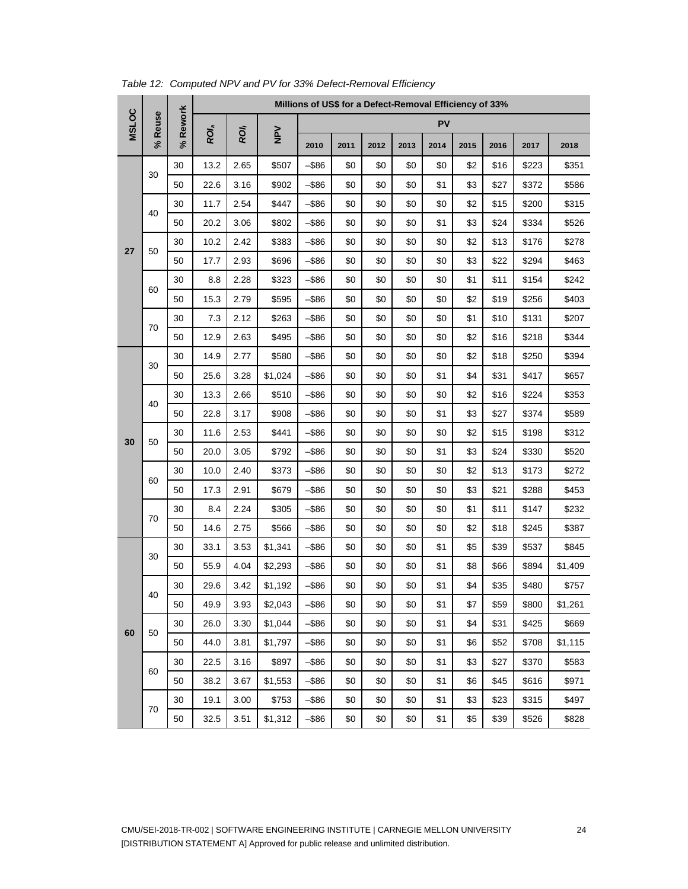|              |         |        | Millions of US\$ for a Defect-Removal Efficiency of 33% |      |         |          |      |      |      |      |      |      |       |         |  |
|--------------|---------|--------|---------------------------------------------------------|------|---------|----------|------|------|------|------|------|------|-------|---------|--|
| <b>MSLOC</b> | % Reuse | Rework |                                                         |      |         |          | PV   |      |      |      |      |      |       |         |  |
|              |         | న్     | ROI <sub>a</sub>                                        | ROI, | $\geq$  | 2010     | 2011 | 2012 | 2013 | 2014 | 2015 | 2016 | 2017  | 2018    |  |
|              |         | 30     | 13.2                                                    | 2.65 | \$507   | $-$ \$86 | \$0  | \$0  | \$0  | \$0  | \$2  | \$16 | \$223 | \$351   |  |
|              | 30      | 50     | 22.6                                                    | 3.16 | \$902   | $-$ \$86 | \$0  | \$0  | \$0  | \$1  | \$3  | \$27 | \$372 | \$586   |  |
|              |         | 30     | 11.7                                                    | 2.54 | \$447   | $-$ \$86 | \$0  | \$0  | \$0  | \$0  | \$2  | \$15 | \$200 | \$315   |  |
|              | 40      | 50     | 20.2                                                    | 3.06 | \$802   | $-$ \$86 | \$0  | \$0  | \$0  | \$1  | \$3  | \$24 | \$334 | \$526   |  |
|              |         | 30     | 10.2                                                    | 2.42 | \$383   | $-$ \$86 | \$0  | \$0  | \$0  | \$0  | \$2  | \$13 | \$176 | \$278   |  |
| 27           | 50      | 50     | 17.7                                                    | 2.93 | \$696   | $-$ \$86 | \$0  | \$0  | \$0  | \$0  | \$3  | \$22 | \$294 | \$463   |  |
|              |         | 30     | 8.8                                                     | 2.28 | \$323   | $-$ \$86 | \$0  | \$0  | \$0  | \$0  | \$1  | \$11 | \$154 | \$242   |  |
|              | 60      | 50     | 15.3                                                    | 2.79 | \$595   | $-$ \$86 | \$0  | \$0  | \$0  | \$0  | \$2  | \$19 | \$256 | \$403   |  |
|              |         | 30     | 7.3                                                     | 2.12 | \$263   | $-$ \$86 | \$0  | \$0  | \$0  | \$0  | \$1  | \$10 | \$131 | \$207   |  |
|              | 70      | 50     | 12.9                                                    | 2.63 | \$495   | $-$ \$86 | \$0  | \$0  | \$0  | \$0  | \$2  | \$16 | \$218 | \$344   |  |
|              |         | 30     | 14.9                                                    | 2.77 | \$580   | $-$ \$86 | \$0  | \$0  | \$0  | \$0  | \$2  | \$18 | \$250 | \$394   |  |
|              | 30      | 50     | 25.6                                                    | 3.28 | \$1,024 | $-$ \$86 | \$0  | \$0  | \$0  | \$1  | \$4  | \$31 | \$417 | \$657   |  |
|              | 40      | 30     | 13.3                                                    | 2.66 | \$510   | $-$ \$86 | \$0  | \$0  | \$0  | \$0  | \$2  | \$16 | \$224 | \$353   |  |
|              |         | 50     | 22.8                                                    | 3.17 | \$908   | $-$ \$86 | \$0  | \$0  | \$0  | \$1  | \$3  | \$27 | \$374 | \$589   |  |
|              | 50      | 30     | 11.6                                                    | 2.53 | \$441   | $-$ \$86 | \$0  | \$0  | \$0  | \$0  | \$2  | \$15 | \$198 | \$312   |  |
| 30           |         | 50     | 20.0                                                    | 3.05 | \$792   | $-$ \$86 | \$0  | \$0  | \$0  | \$1  | \$3  | \$24 | \$330 | \$520   |  |
|              |         | 30     | 10.0                                                    | 2.40 | \$373   | $-$ \$86 | \$0  | \$0  | \$0  | \$0  | \$2  | \$13 | \$173 | \$272   |  |
|              | 60      | 50     | 17.3                                                    | 2.91 | \$679   | $-$ \$86 | \$0  | \$0  | \$0  | \$0  | \$3  | \$21 | \$288 | \$453   |  |
|              |         | 30     | 8.4                                                     | 2.24 | \$305   | $-$ \$86 | \$0  | \$0  | \$0  | \$0  | \$1  | \$11 | \$147 | \$232   |  |
|              | 70      | 50     | 14.6                                                    | 2.75 | \$566   | $-$ \$86 | \$0  | \$0  | \$0  | \$0  | \$2  | \$18 | \$245 | \$387   |  |
|              |         | 30     | 33.1                                                    | 3.53 | \$1,341 | $-$ \$86 | \$0  | \$0  | \$0  | \$1  | \$5  | \$39 | \$537 | \$845   |  |
|              | 30      | 50     | 55.9                                                    | 4.04 | \$2,293 | $-$ \$86 | \$0  | \$0  | \$0  | \$1  | \$8  | \$66 | \$894 | \$1,409 |  |
|              |         | 30     | 29.6                                                    | 3.42 | \$1,192 | $-$ \$86 | \$0  | \$0  | \$0  | \$1  | \$4  | \$35 | \$480 | \$757   |  |
|              | 40      | 50     | 49.9                                                    | 3.93 | \$2,043 | $-$ \$86 | \$0  | \$0  | \$0  | \$1  | \$7  | \$59 | \$800 | \$1,261 |  |
|              |         | 30     | 26.0                                                    | 3.30 | \$1,044 | $-$ \$86 | \$0  | \$0  | \$0  | \$1  | \$4  | \$31 | \$425 | \$669   |  |
| 60           | 50      | 50     | 44.0                                                    | 3.81 | \$1,797 | $-$ \$86 | \$0  | \$0  | \$0  | \$1  | \$6  | \$52 | \$708 | \$1,115 |  |
|              |         | 30     | 22.5                                                    | 3.16 | \$897   | $-$ \$86 | \$0  | \$0  | \$0  | \$1  | \$3  | \$27 | \$370 | \$583   |  |
|              | 60      | 50     | 38.2                                                    | 3.67 | \$1,553 | $-$ \$86 | \$0  | \$0  | \$0  | \$1  | \$6  | \$45 | \$616 | \$971   |  |
|              |         | 30     | 19.1                                                    | 3.00 | \$753   | $-$ \$86 | \$0  | \$0  | \$0  | \$1  | \$3  | \$23 | \$315 | \$497   |  |
|              | 70      | 50     | 32.5                                                    | 3.51 | \$1,312 | $-$ \$86 | \$0  | \$0  | \$0  | \$1  | \$5  | \$39 | \$526 | \$828   |  |

<span id="page-33-0"></span>*Table 12: Computed NPV and PV for 33% Defect-Removal Efficiency*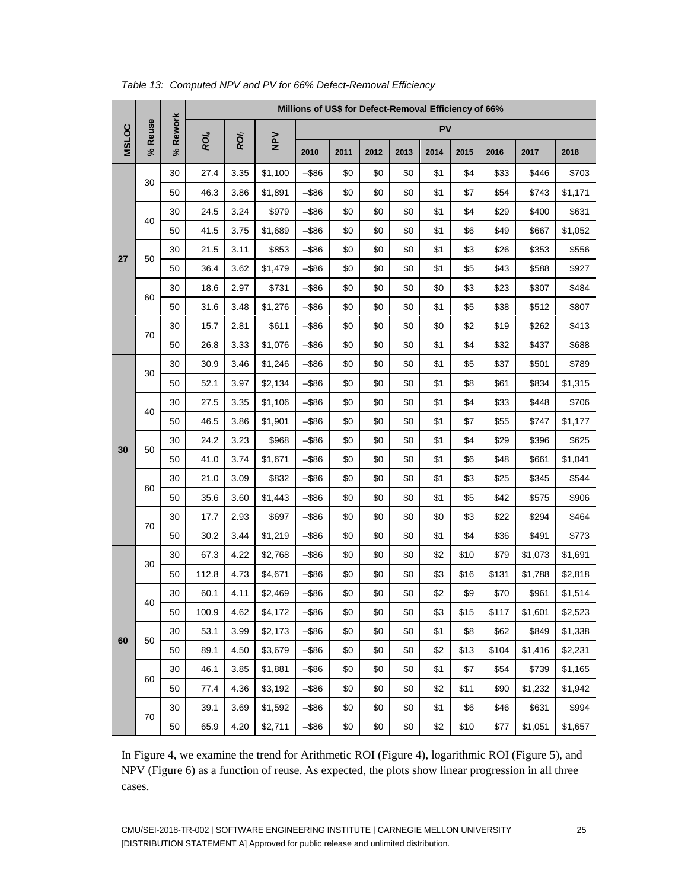|              |         |          | Millions of US\$ for Defect-Removal Efficiency of 66% |      |         |          |      |      |      |      |      |       |         |         |
|--------------|---------|----------|-------------------------------------------------------|------|---------|----------|------|------|------|------|------|-------|---------|---------|
|              | % Reuse | % Rework |                                                       |      |         |          |      |      |      | PV   |      |       |         |         |
| <b>MSLOC</b> |         |          | ROI <sub>a</sub>                                      | ROI, | $\geq$  | 2010     | 2011 | 2012 | 2013 | 2014 | 2015 | 2016  | 2017    | 2018    |
|              |         | 30       | 27.4                                                  | 3.35 | \$1,100 | -\$86    | \$0  | \$0  | \$0  | \$1  | \$4  | \$33  | \$446   | \$703   |
|              | 30      | 50       | 46.3                                                  | 3.86 | \$1,891 | $-$ \$86 | \$0  | \$0  | \$0  | \$1  | \$7  | \$54  | \$743   | \$1,171 |
|              |         | 30       | 24.5                                                  | 3.24 | \$979   | -\$86    | \$0  | \$0  | \$0  | \$1  | \$4  | \$29  | \$400   | \$631   |
|              | 40      | 50       | 41.5                                                  | 3.75 | \$1,689 | $-$ \$86 | \$0  | \$0  | \$0  | \$1  | \$6  | \$49  | \$667   | \$1,052 |
|              |         | 30       | 21.5                                                  | 3.11 | \$853   | $-$ \$86 | \$0  | \$0  | \$0  | \$1  | \$3  | \$26  | \$353   | \$556   |
| 27           | 50      | 50       | 36.4                                                  | 3.62 | \$1,479 | $-$ \$86 | \$0  | \$0  | \$0  | \$1  | \$5  | \$43  | \$588   | \$927   |
|              |         | 30       | 18.6                                                  | 2.97 | \$731   | -\$86    | \$0  | \$0  | \$0  | \$0  | \$3  | \$23  | \$307   | \$484   |
|              | 60      | 50       | 31.6                                                  | 3.48 | \$1,276 | $-$ \$86 | \$0  | \$0  | \$0  | \$1  | \$5  | \$38  | \$512   | \$807   |
|              |         | 30       | 15.7                                                  | 2.81 | \$611   | -\$86    | \$0  | \$0  | \$0  | \$0  | \$2  | \$19  | \$262   | \$413   |
|              | 70      | 50       | 26.8                                                  | 3.33 | \$1,076 | $-$ \$86 | \$0  | \$0  | \$0  | \$1  | \$4  | \$32  | \$437   | \$688   |
|              |         | 30       | 30.9                                                  | 3.46 | \$1,246 | $-$ \$86 | \$0  | \$0  | \$0  | \$1  | \$5  | \$37  | \$501   | \$789   |
|              | 30      | 50       | 52.1                                                  | 3.97 | \$2,134 | -\$86    | \$0  | \$0  | \$0  | \$1  | \$8  | \$61  | \$834   | \$1,315 |
|              | 40      | 30       | 27.5                                                  | 3.35 | \$1,106 | -\$86    | \$0  | \$0  | \$0  | \$1  | \$4  | \$33  | \$448   | \$706   |
|              |         | 50       | 46.5                                                  | 3.86 | \$1,901 | $-$ \$86 | \$0  | \$0  | \$0  | \$1  | \$7  | \$55  | \$747   | \$1,177 |
|              | 50      | 30       | 24.2                                                  | 3.23 | \$968   | -\$86    | \$0  | \$0  | \$0  | \$1  | \$4  | \$29  | \$396   | \$625   |
| 30           |         | 50       | 41.0                                                  | 3.74 | \$1,671 | $-$ \$86 | \$0  | \$0  | \$0  | \$1  | \$6  | \$48  | \$661   | \$1,041 |
|              |         | 30       | 21.0                                                  | 3.09 | \$832   | $-$ \$86 | \$0  | \$0  | \$0  | \$1  | \$3  | \$25  | \$345   | \$544   |
|              | 60      | 50       | 35.6                                                  | 3.60 | \$1,443 | -\$86    | \$0  | \$0  | \$0  | \$1  | \$5  | \$42  | \$575   | \$906   |
|              |         | 30       | 17.7                                                  | 2.93 | \$697   | -\$86    | \$0  | \$0  | \$0  | \$0  | \$3  | \$22  | \$294   | \$464   |
|              | 70      | 50       | 30.2                                                  | 3.44 | \$1,219 | $-$ \$86 | \$0  | \$0  | \$0  | \$1  | \$4  | \$36  | \$491   | \$773   |
|              |         | 30       | 67.3                                                  | 4.22 | \$2,768 | $-$ \$86 | \$0  | \$0  | \$0  | \$2  | \$10 | \$79  | \$1,073 | \$1,691 |
|              | 30      | 50       | 112.8                                                 | 4.73 | \$4,671 | $-$ \$86 | \$0  | \$0  | \$0  | \$3  | \$16 | \$131 | \$1,788 | \$2,818 |
|              | 40      | 30       | 60.1                                                  | 4.11 | \$2,469 | -\$86    | \$0  | \$0  | \$0  | \$2  | \$9  | \$70  | \$961   | \$1,514 |
|              |         | 50       | 100.9                                                 | 4.62 | \$4,172 | $-$ \$86 | \$0  | \$0  | \$0  | \$3  | \$15 | \$117 | \$1,601 | \$2,523 |
| 60           | 50      | 30       | 53.1                                                  | 3.99 | \$2,173 | $-$ \$86 | \$0  | \$0  | \$0  | \$1  | \$8  | \$62  | \$849   | \$1,338 |
|              |         | 50       | 89.1                                                  | 4.50 | \$3,679 | $-$ \$86 | \$0  | \$0  | \$0  | \$2  | \$13 | \$104 | \$1,416 | \$2,231 |
|              |         | 30       | 46.1                                                  | 3.85 | \$1,881 | $-$ \$86 | \$0  | \$0  | \$0  | \$1  | \$7  | \$54  | \$739   | \$1,165 |
|              | 60      | 50       | 77.4                                                  | 4.36 | \$3,192 | $-$ \$86 | \$0  | \$0  | \$0  | \$2  | \$11 | \$90  | \$1,232 | \$1,942 |
|              |         | 30       | 39.1                                                  | 3.69 | \$1,592 | $-$ \$86 | \$0  | \$0  | \$0  | \$1  | \$6  | \$46  | \$631   | \$994   |
|              | 70      | 50       | 65.9                                                  | 4.20 | \$2,711 | $-$ \$86 | \$0  | \$0  | \$0  | \$2  | \$10 | \$77  | \$1,051 | \$1,657 |

<span id="page-34-0"></span>*Table 13: Computed NPV and PV for 66% Defect-Removal Efficiency*

In [Figure 4,](#page-35-0) we examine the trend for Arithmetic ROI [\(Figure 4\)](#page-35-0), logarithmic ROI [\(Figure 5\)](#page-35-1), and NPV [\(Figure 6\)](#page-35-2) as a function of reuse. As expected, the plots show linear progression in all three cases.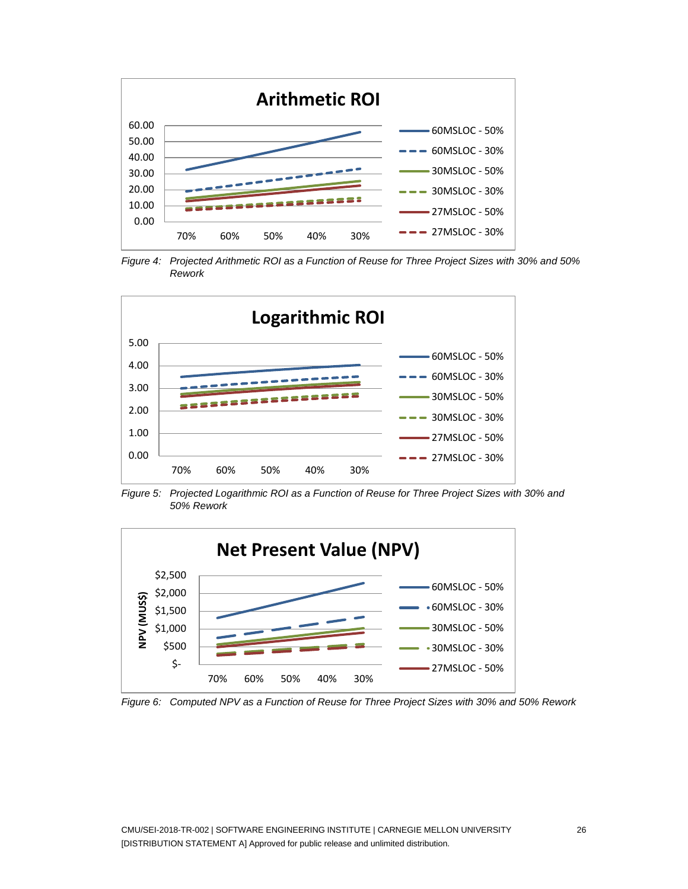

<span id="page-35-0"></span>*Figure 4: Projected Arithmetic ROI as a Function of Reuse for Three Project Sizes with 30% and 50% Rework*



<span id="page-35-1"></span>*Figure 5: Projected Logarithmic ROI as a Function of Reuse for Three Project Sizes with 30% and 50% Rework*



<span id="page-35-2"></span>*Figure 6: Computed NPV as a Function of Reuse for Three Project Sizes with 30% and 50% Rework*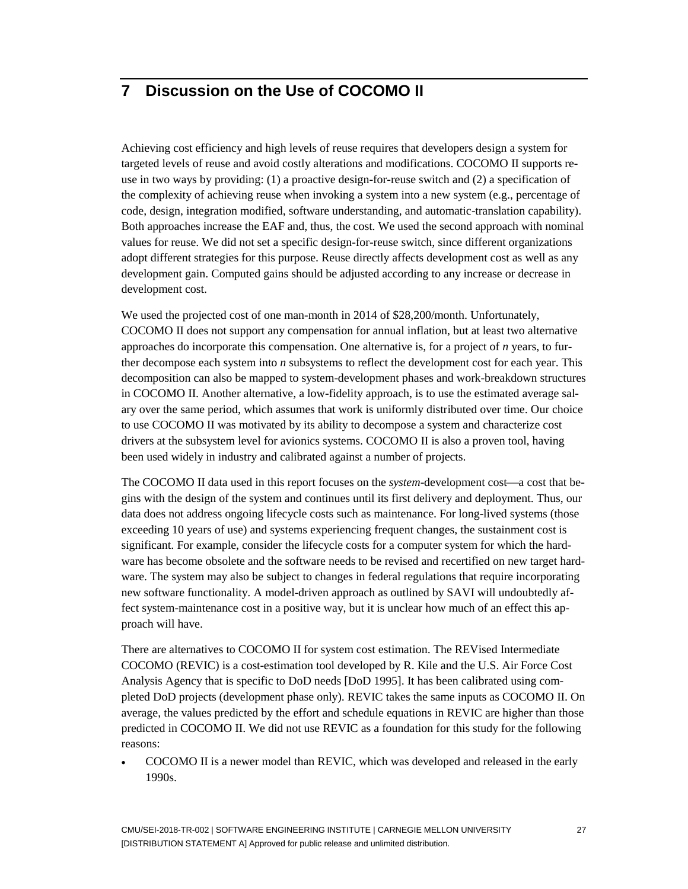# <span id="page-36-0"></span>**7 Discussion on the Use of COCOMO II**

Achieving cost efficiency and high levels of reuse requires that developers design a system for targeted levels of reuse and avoid costly alterations and modifications. COCOMO II supports reuse in two ways by providing: (1) a proactive design-for-reuse switch and (2) a specification of the complexity of achieving reuse when invoking a system into a new system (e.g., percentage of code, design, integration modified, software understanding, and automatic-translation capability). Both approaches increase the EAF and, thus, the cost. We used the second approach with nominal values for reuse. We did not set a specific design-for-reuse switch, since different organizations adopt different strategies for this purpose. Reuse directly affects development cost as well as any development gain. Computed gains should be adjusted according to any increase or decrease in development cost.

We used the projected cost of one man-month in 2014 of \$28,200/month. Unfortunately, COCOMO II does not support any compensation for annual inflation, but at least two alternative approaches do incorporate this compensation. One alternative is, for a project of *n* years, to further decompose each system into *n* subsystems to reflect the development cost for each year. This decomposition can also be mapped to system-development phases and work-breakdown structures in COCOMO II. Another alternative, a low-fidelity approach, is to use the estimated average salary over the same period, which assumes that work is uniformly distributed over time. Our choice to use COCOMO II was motivated by its ability to decompose a system and characterize cost drivers at the subsystem level for avionics systems. COCOMO II is also a proven tool, having been used widely in industry and calibrated against a number of projects.

The COCOMO II data used in this report focuses on the *system*-development cost—a cost that begins with the design of the system and continues until its first delivery and deployment. Thus, our data does not address ongoing lifecycle costs such as maintenance. For long-lived systems (those exceeding 10 years of use) and systems experiencing frequent changes, the sustainment cost is significant. For example, consider the lifecycle costs for a computer system for which the hardware has become obsolete and the software needs to be revised and recertified on new target hardware. The system may also be subject to changes in federal regulations that require incorporating new software functionality. A model-driven approach as outlined by SAVI will undoubtedly affect system-maintenance cost in a positive way, but it is unclear how much of an effect this approach will have.

There are alternatives to COCOMO II for system cost estimation. The REVised Intermediate COCOMO (REVIC) is a cost-estimation tool developed by R. Kile and the U.S. Air Force Cost Analysis Agency that is specific to DoD needs [DoD 1995]. It has been calibrated using completed DoD projects (development phase only). REVIC takes the same inputs as COCOMO II. On average, the values predicted by the effort and schedule equations in REVIC are higher than those predicted in COCOMO II. We did not use REVIC as a foundation for this study for the following reasons:

• COCOMO II is a newer model than REVIC, which was developed and released in the early 1990s.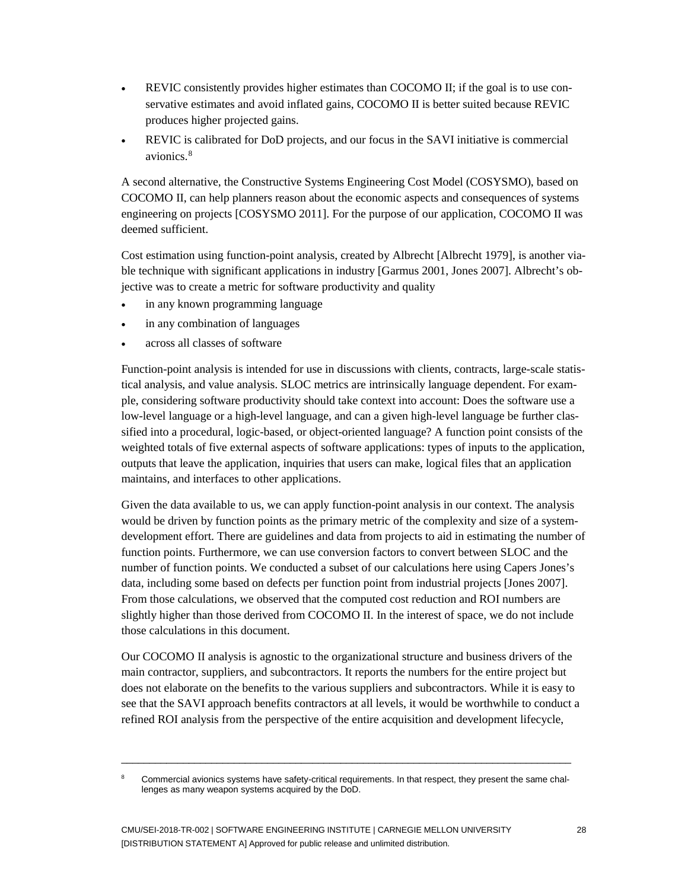- REVIC consistently provides higher estimates than COCOMO II; if the goal is to use conservative estimates and avoid inflated gains, COCOMO II is better suited because REVIC produces higher projected gains.
- REVIC is calibrated for DoD projects, and our focus in the SAVI initiative is commercial avionics.[8](#page-37-0)

A second alternative, the Constructive Systems Engineering Cost Model (COSYSMO), based on COCOMO II, can help planners reason about the economic aspects and consequences of systems engineering on projects [COSYSMO 2011]. For the purpose of our application, COCOMO II was deemed sufficient.

Cost estimation using function-point analysis, created by Albrecht [Albrecht 1979], is another viable technique with significant applications in industry [Garmus 2001, Jones 2007]. Albrecht's objective was to create a metric for software productivity and quality

- in any known programming language
- in any combination of languages
- across all classes of software

Function-point analysis is intended for use in discussions with clients, contracts, large-scale statistical analysis, and value analysis. SLOC metrics are intrinsically language dependent. For example, considering software productivity should take context into account: Does the software use a low-level language or a high-level language, and can a given high-level language be further classified into a procedural, logic-based, or object-oriented language? A function point consists of the weighted totals of five external aspects of software applications: types of inputs to the application, outputs that leave the application, inquiries that users can make, logical files that an application maintains, and interfaces to other applications.

Given the data available to us, we can apply function-point analysis in our context. The analysis would be driven by function points as the primary metric of the complexity and size of a systemdevelopment effort. There are guidelines and data from projects to aid in estimating the number of function points. Furthermore, we can use conversion factors to convert between SLOC and the number of function points. We conducted a subset of our calculations here using Capers Jones's data, including some based on defects per function point from industrial projects [Jones 2007]. From those calculations, we observed that the computed cost reduction and ROI numbers are slightly higher than those derived from COCOMO II. In the interest of space, we do not include those calculations in this document.

Our COCOMO II analysis is agnostic to the organizational structure and business drivers of the main contractor, suppliers, and subcontractors. It reports the numbers for the entire project but does not elaborate on the benefits to the various suppliers and subcontractors. While it is easy to see that the SAVI approach benefits contractors at all levels, it would be worthwhile to conduct a refined ROI analysis from the perspective of the entire acquisition and development lifecycle,

\_\_\_\_\_\_\_\_\_\_\_\_\_\_\_\_\_\_\_\_\_\_\_\_\_\_\_\_\_\_\_\_\_\_\_\_\_\_\_\_\_\_\_\_\_\_\_\_\_\_\_\_\_\_\_\_\_\_\_\_\_\_\_\_\_\_\_\_\_\_\_\_\_\_\_\_\_\_\_\_

<span id="page-37-0"></span>Commercial avionics systems have safety-critical requirements. In that respect, they present the same challenges as many weapon systems acquired by the DoD.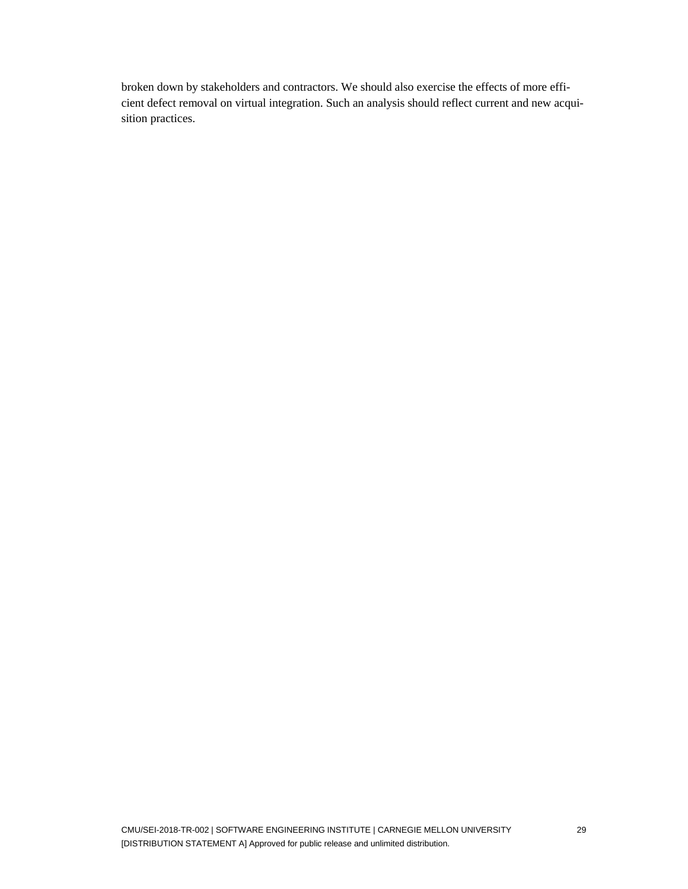broken down by stakeholders and contractors. We should also exercise the effects of more efficient defect removal on virtual integration. Such an analysis should reflect current and new acquisition practices.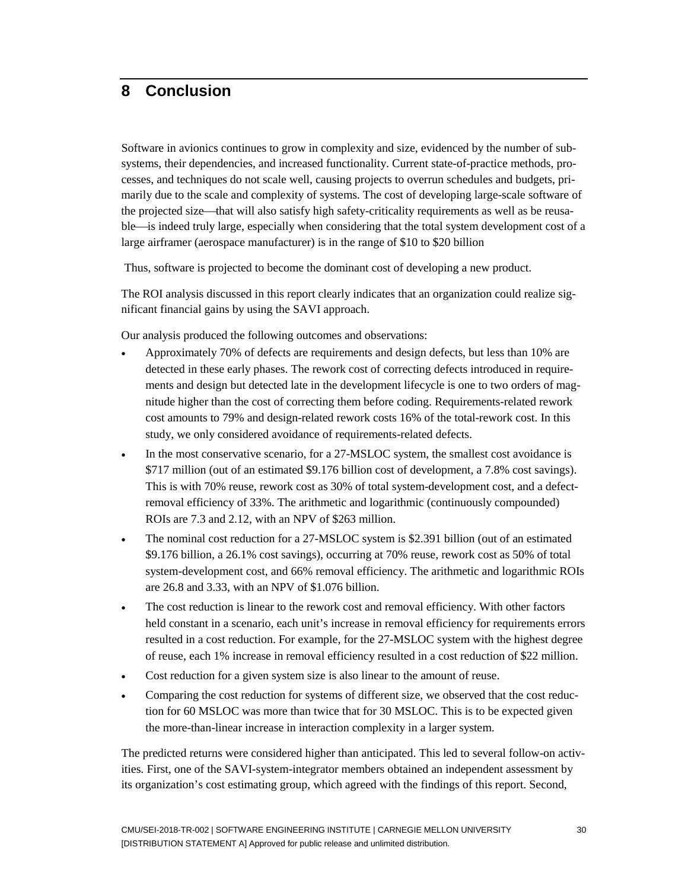# <span id="page-39-0"></span>**8 Conclusion**

Software in avionics continues to grow in complexity and size, evidenced by the number of subsystems, their dependencies, and increased functionality. Current state-of-practice methods, processes, and techniques do not scale well, causing projects to overrun schedules and budgets, primarily due to the scale and complexity of systems. The cost of developing large-scale software of the projected size—that will also satisfy high safety-criticality requirements as well as be reusable—is indeed truly large, especially when considering that the total system development cost of a large airframer (aerospace manufacturer) is in the range of \$10 to \$20 billion

Thus, software is projected to become the dominant cost of developing a new product.

The ROI analysis discussed in this report clearly indicates that an organization could realize significant financial gains by using the SAVI approach.

Our analysis produced the following outcomes and observations:

- Approximately 70% of defects are requirements and design defects, but less than 10% are detected in these early phases. The rework cost of correcting defects introduced in requirements and design but detected late in the development lifecycle is one to two orders of magnitude higher than the cost of correcting them before coding. Requirements-related rework cost amounts to 79% and design-related rework costs 16% of the total-rework cost. In this study, we only considered avoidance of requirements-related defects.
- In the most conservative scenario, for a 27-MSLOC system, the smallest cost avoidance is \$717 million (out of an estimated \$9.176 billion cost of development, a 7.8% cost savings). This is with 70% reuse, rework cost as 30% of total system-development cost, and a defectremoval efficiency of 33%. The arithmetic and logarithmic (continuously compounded) ROIs are 7.3 and 2.12, with an NPV of \$263 million.
- The nominal cost reduction for a 27-MSLOC system is \$2.391 billion (out of an estimated \$9.176 billion, a 26.1% cost savings), occurring at 70% reuse, rework cost as 50% of total system-development cost, and 66% removal efficiency. The arithmetic and logarithmic ROIs are 26.8 and 3.33, with an NPV of \$1.076 billion.
- The cost reduction is linear to the rework cost and removal efficiency. With other factors held constant in a scenario, each unit's increase in removal efficiency for requirements errors resulted in a cost reduction. For example, for the 27-MSLOC system with the highest degree of reuse, each 1% increase in removal efficiency resulted in a cost reduction of \$22 million.
- Cost reduction for a given system size is also linear to the amount of reuse.
- Comparing the cost reduction for systems of different size, we observed that the cost reduction for 60 MSLOC was more than twice that for 30 MSLOC. This is to be expected given the more-than-linear increase in interaction complexity in a larger system.

The predicted returns were considered higher than anticipated. This led to several follow-on activities. First, one of the SAVI-system-integrator members obtained an independent assessment by its organization's cost estimating group, which agreed with the findings of this report. Second,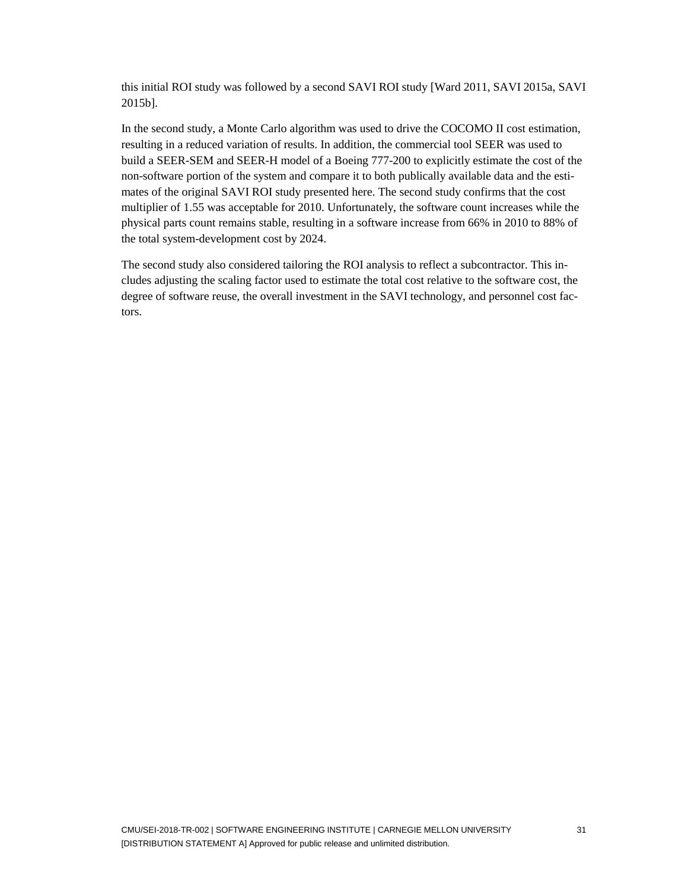this initial ROI study was followed by a second SAVI ROI study [Ward 2011, SAVI 2015a, SAVI 2015b].

In the second study, a Monte Carlo algorithm was used to drive the COCOMO II cost estimation, resulting in a reduced variation of results. In addition, the commercial tool SEER was used to build a SEER-SEM and SEER-H model of a Boeing 777-200 to explicitly estimate the cost of the non-software portion of the system and compare it to both publically available data and the estimates of the original SAVI ROI study presented here. The second study confirms that the cost multiplier of 1.55 was acceptable for 2010. Unfortunately, the software count increases while the physical parts count remains stable, resulting in a software increase from 66% in 2010 to 88% of the total system-development cost by 2024.

The second study also considered tailoring the ROI analysis to reflect a subcontractor. This includes adjusting the scaling factor used to estimate the total cost relative to the software cost, the degree of software reuse, the overall investment in the SAVI technology, and personnel cost factors.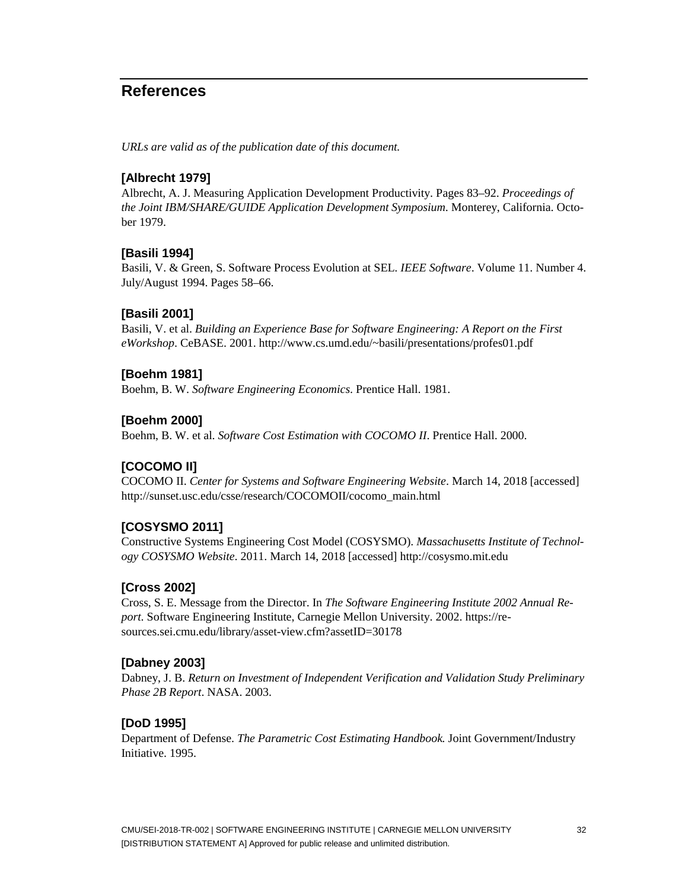### <span id="page-41-0"></span>**References**

*URLs are valid as of the publication date of this document.*

#### **[Albrecht 1979]**

Albrecht, A. J. Measuring Application Development Productivity. Pages 83–92. *Proceedings of the Joint IBM/SHARE/GUIDE Application Development Symposium*. Monterey, California. October 1979.

#### **[Basili 1994]**

Basili, V. & Green, S. Software Process Evolution at SEL. *IEEE Software*. Volume 11. Number 4. July/August 1994. Pages 58–66.

#### **[Basili 2001]**

Basili, V. et al. *Building an Experience Base for Software Engineering: A Report on the First eWorkshop*. CeBASE. 2001. <http://www.cs.umd.edu/~basili/presentations/profes01.pdf>

#### **[Boehm 1981]**

Boehm, B. W. *Software Engineering Economics*. Prentice Hall. 1981.

#### **[Boehm 2000]**

Boehm, B. W. et al. *Software Cost Estimation with COCOMO II*. Prentice Hall. 2000.

#### **[COCOMO II]**

COCOMO II. *Center for Systems and Software Engineering Website*. March 14, 2018 [accessed] [http://sunset.usc.edu/csse/research/COCOMOII/cocomo\\_main.html](http://sunset.usc.edu/csse/research/COCOMOII/cocomo_main.html)

#### **[COSYSMO 2011]**

Constructive Systems Engineering Cost Model (COSYSMO). *Massachusetts Institute of Technology COSYSMO Website*. 2011. March 14, 2018 [accessed] [http://cosysmo.mit.edu](http://cosysmo.mit.edu/)

#### **[Cross 2002]**

Cross, S. E. Message from the Director. In *The Software Engineering Institute 2002 Annual Report*. Software Engineering Institute, Carnegie Mellon University. 2002. [https://re](https://re-sources.sei.cmu.edu/library/asset-view.cfm?assetID=30178)[sources.sei.cmu.edu/library/asset-view.cfm?assetID=30178](https://re-sources.sei.cmu.edu/library/asset-view.cfm?assetID=30178)

#### **[Dabney 2003]**

Dabney, J. B. *Return on Investment of Independent Verification and Validation Study Preliminary Phase 2B Report*. NASA. 2003.

#### **[DoD 1995]**

Department of Defense. *[The Parametric Cost Estimating Handbook.](http://cost.jsc.nasa.gov/PCEHHTML/pceh.htm)* Joint Government/Industry Initiative. 1995.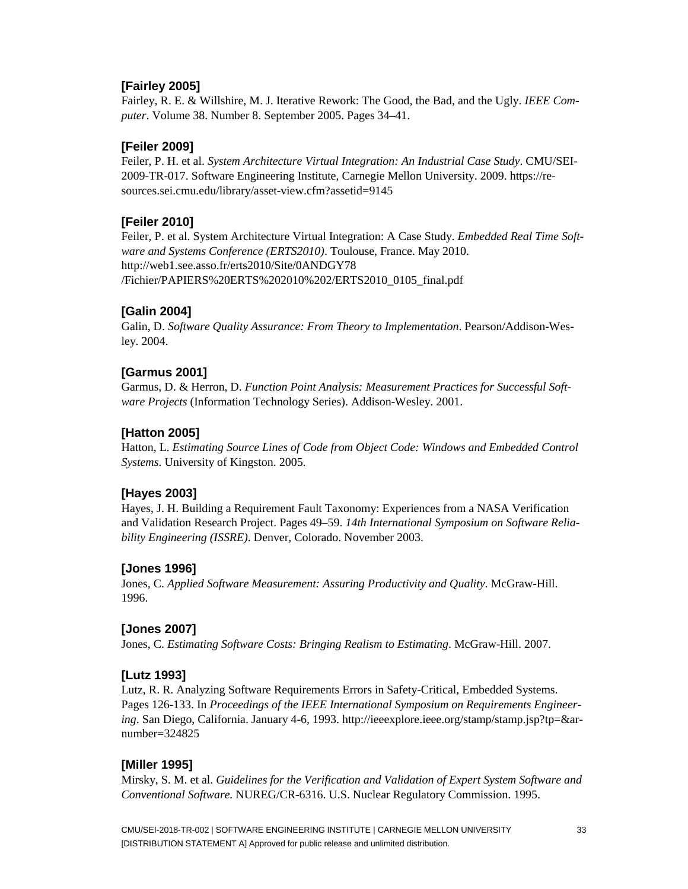#### **[Fairley 2005]**

Fairley, R. E. & Willshire, M. J. Iterative Rework: The Good, the Bad, and the Ugly. *IEEE Computer*. Volume 38. Number 8. September 2005. Pages 34–41.

#### **[Feiler 2009]**

Feiler, P. H. et al. *System Architecture Virtual Integration: An Industrial Case Study*. CMU/SEI-2009-TR-017. Software Engineering Institute, Carnegie Mellon University. 2009. [https://re](https://re-sources.sei.cmu.edu/library/asset-view.cfm?assetid=9145)[sources.sei.cmu.edu/library/asset-view.cfm?assetid=9145](https://re-sources.sei.cmu.edu/library/asset-view.cfm?assetid=9145)

#### **[Feiler 2010]**

Feiler, P. et al. System Architecture Virtual Integration: A Case Study. *Embedded Real Time Software and Systems Conference (ERTS2010)*. Toulouse, France. May 2010. <http://web1.see.asso.fr/erts2010/Site/0ANDGY78> /Fichier/PAPIERS%20ERTS%202010%202/ERTS2010\_0105\_final.pdf

#### **[Galin 2004]**

Galin, D. *Software Quality Assurance: From Theory to Implementation*. Pearson/Addison-Wesley. 2004.

#### **[Garmus 2001]**

Garmus, D. & Herron, D. *Function Point Analysis: Measurement Practices for Successful Software Projects* (Information Technology Series). Addison-Wesley. 2001.

#### **[Hatton 2005]**

Hatton, L. *Estimating Source Lines of Code from Object Code: Windows and Embedded Control Systems*. University of Kingston. 2005.

#### **[Hayes 2003]**

Hayes, J. H. Building a Requirement Fault Taxonomy: Experiences from a NASA Verification and Validation Research Project. Pages 49–59. *14th International Symposium on Software Reliability Engineering (ISSRE)*. Denver, Colorado. November 2003.

#### **[Jones 1996]**

Jones, C. *Applied Software Measurement: Assuring Productivity and Quality*. McGraw-Hill. 1996.

#### **[Jones 2007]**

Jones, C. *Estimating Software Costs: Bringing Realism to Estimating*. McGraw-Hill. 2007.

#### **[Lutz 1993]**

Lutz, R. R. Analyzing Software Requirements Errors in Safety-Critical, Embedded Systems. Pages 126-133. In *Proceedings of the IEEE International Symposium on Requirements Engineering*. San Diego, California. January 4-6, 1993. [http://ieeexplore.ieee.org/stamp/stamp.jsp?tp=&ar](http://ieeexplore.ieee.org/stamp/stamp.jsp?tp=&ar-number=324825)[number=324825](http://ieeexplore.ieee.org/stamp/stamp.jsp?tp=&ar-number=324825)

#### **[Miller 1995]**

Mirsky, S. M. et al. *Guidelines for the Verification and Validation of Expert System Software and Conventional Software.* NUREG/CR-6316. U.S. Nuclear Regulatory Commission. 1995.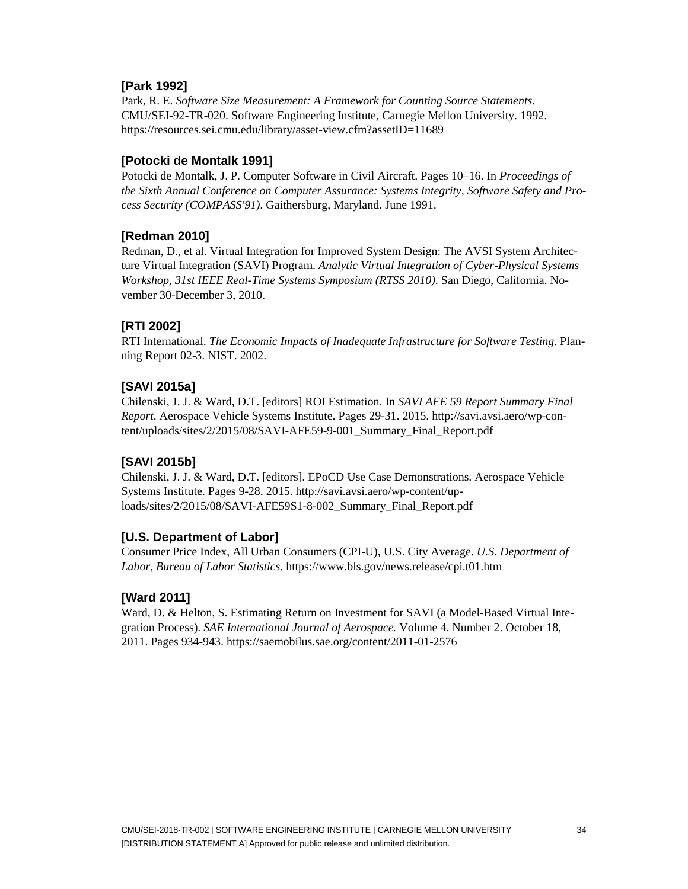#### **[Park 1992]**

Park, R. E. *Software Size Measurement: A Framework for Counting Source Statements*. CMU/SEI-92-TR-020. Software Engineering Institute, Carnegie Mellon University. 1992. <https://resources.sei.cmu.edu/library/asset-view.cfm?assetID=11689>

#### **[Potocki de Montalk 1991]**

Potocki de Montalk, J. P. Computer Software in Civil Aircraft. Pages 10–16. In *Proceedings of the Sixth Annual Conference on Computer Assurance: Systems Integrity, Software Safety and Process Security (COMPASS'91)*. Gaithersburg, Maryland. June 1991.

#### **[Redman 2010]**

Redman, D., et al. Virtual Integration for Improved System Design: The AVSI System Architecture Virtual Integration (SAVI) Program. *Analytic Virtual Integration of Cyber-Physical Systems Workshop, 31st IEEE Real-Time Systems Symposium (RTSS 2010)*. San Diego, California. November 30-December 3, 2010.

#### **[RTI 2002]**

RTI International. *The Economic Impacts of Inadequate Infrastructure for Software Testing.* Planning Report 02-3. NIST. 2002.

#### **[SAVI 2015a]**

Chilenski, J. J. & Ward, D.T. [editors] ROI Estimation. In *SAVI AFE 59 Report Summary Final Report*. Aerospace Vehicle Systems Institute. Pages 29-31. 2015. [http://savi.avsi.aero/wp-con](http://savi.avsi.aero/wp-con-tent/uploads/sites/2/2015/08/SAVI-AFE59-9-001_Summary_Final_Report.pdf)[tent/uploads/sites/2/2015/08/SAVI-AFE59-9-001\\_Summary\\_Final\\_Report.pdf](http://savi.avsi.aero/wp-con-tent/uploads/sites/2/2015/08/SAVI-AFE59-9-001_Summary_Final_Report.pdf)

#### **[SAVI 2015b]**

Chilenski, J. J. & Ward, D.T. [editors]. EPoCD Use Case Demonstrations. Aerospace Vehicle Systems Institute. Pages 9-28. 2015. [http://savi.avsi.aero/wp-content/up](http://savi.avsi.aero/wp-content/up-loads/sites/2/2015/08/SAVI-AFE59S1-8-002_Summary_Final_Report.pdf)[loads/sites/2/2015/08/SAVI-AFE59S1-8-002\\_Summary\\_Final\\_Report.pdf](http://savi.avsi.aero/wp-content/up-loads/sites/2/2015/08/SAVI-AFE59S1-8-002_Summary_Final_Report.pdf)

#### **[U.S. Department of Labor]**

Consumer Price Index, All Urban Consumers (CPI-U), U.S. City Average. *U.S. Department of Labor, Bureau of Labor Statistics*.<https://www.bls.gov/news.release/cpi.t01.htm>

#### **[Ward 2011]**

Ward, D. & Helton, S. Estimating Return on Investment for SAVI (a Model-Based Virtual Integration Process). *SAE International Journal of Aerospace.* Volume 4. Number 2. October 18, 2011. Pages 934-943. https://saemobilus.sae.org/content/2011-01-2576